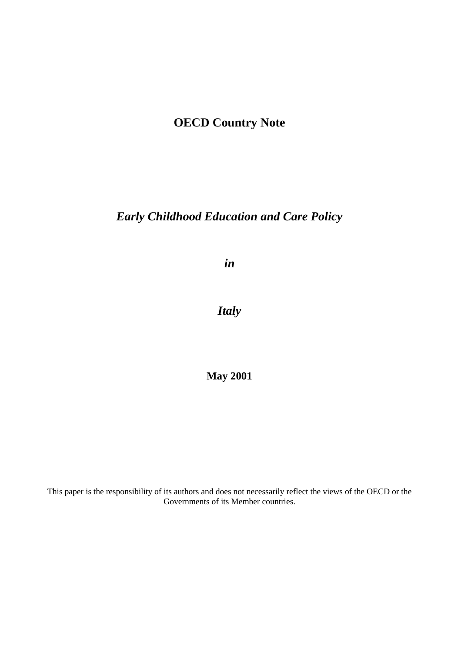# **OECD Country Note**

*Early Childhood Education and Care Policy* 

*in* 

*Italy*

**May 2001** 

This paper is the responsibility of its authors and does not necessarily reflect the views of the OECD or the Governments of its Member countries.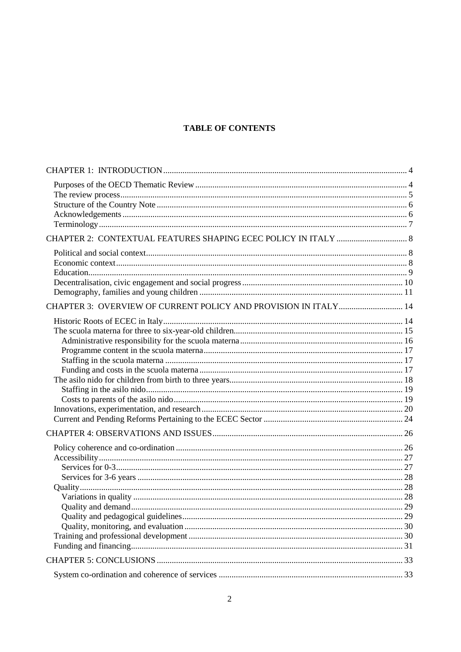# **TABLE OF CONTENTS**

| CHAPTER 3: OVERVIEW OF CURRENT POLICY AND PROVISION IN ITALY 14 |  |
|-----------------------------------------------------------------|--|
|                                                                 |  |
|                                                                 |  |
|                                                                 |  |
|                                                                 |  |
|                                                                 |  |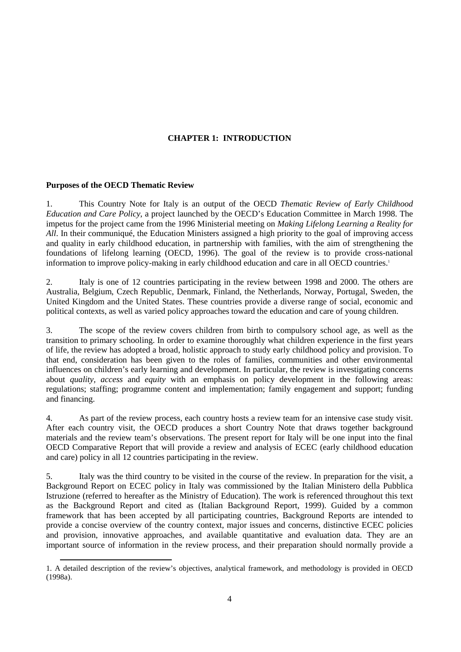# **CHAPTER 1: INTRODUCTION**

## **Purposes of the OECD Thematic Review**

1. This Country Note for Italy is an output of the OECD *Thematic Review of Early Childhood Education and Care Policy*, a project launched by the OECD's Education Committee in March 1998. The impetus for the project came from the 1996 Ministerial meeting on *Making Lifelong Learning a Reality for All*. In their communiqué, the Education Ministers assigned a high priority to the goal of improving access and quality in early childhood education, in partnership with families, with the aim of strengthening the foundations of lifelong learning (OECD, 1996). The goal of the review is to provide cross-national information to improve policy-making in early childhood education and care in all OECD countries.<sup>1</sup>

2. Italy is one of 12 countries participating in the review between 1998 and 2000. The others are Australia, Belgium, Czech Republic, Denmark, Finland, the Netherlands, Norway, Portugal, Sweden, the United Kingdom and the United States. These countries provide a diverse range of social, economic and political contexts, as well as varied policy approaches toward the education and care of young children.

3. The scope of the review covers children from birth to compulsory school age, as well as the transition to primary schooling. In order to examine thoroughly what children experience in the first years of life, the review has adopted a broad, holistic approach to study early childhood policy and provision. To that end, consideration has been given to the roles of families, communities and other environmental influences on children's early learning and development. In particular, the review is investigating concerns about *quality, access* and *equity* with an emphasis on policy development in the following areas: regulations; staffing; programme content and implementation; family engagement and support; funding and financing.

4. As part of the review process, each country hosts a review team for an intensive case study visit. After each country visit, the OECD produces a short Country Note that draws together background materials and the review team's observations. The present report for Italy will be one input into the final OECD Comparative Report that will provide a review and analysis of ECEC (early childhood education and care) policy in all 12 countries participating in the review.

5. Italy was the third country to be visited in the course of the review. In preparation for the visit, a Background Report on ECEC policy in Italy was commissioned by the Italian Ministero della Pubblica Istruzione (referred to hereafter as the Ministry of Education). The work is referenced throughout this text as the Background Report and cited as (Italian Background Report, 1999). Guided by a common framework that has been accepted by all participating countries, Background Reports are intended to provide a concise overview of the country context, major issues and concerns, distinctive ECEC policies and provision, innovative approaches, and available quantitative and evaluation data. They are an important source of information in the review process, and their preparation should normally provide a

 1. A detailed description of the review's objectives, analytical framework, and methodology is provided in OECD (1998a).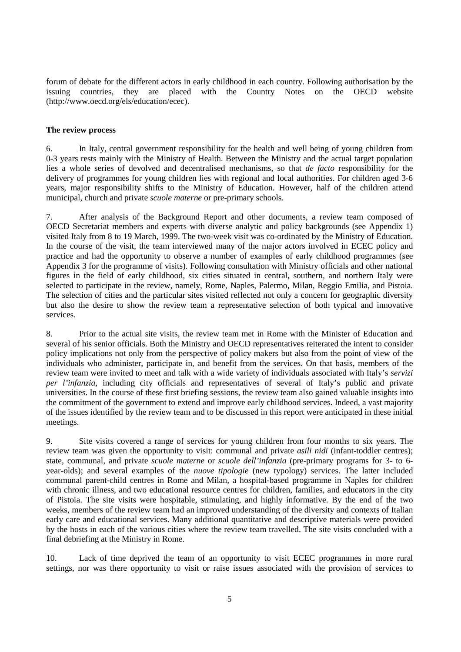forum of debate for the different actors in early childhood in each country. Following authorisation by the issuing countries, they are placed with the Country Notes on the OECD website (http://www.oecd.org/els/education/ecec).

## **The review process**

6. In Italy, central government responsibility for the health and well being of young children from 0-3 years rests mainly with the Ministry of Health. Between the Ministry and the actual target population lies a whole series of devolved and decentralised mechanisms, so that *de facto* responsibility for the delivery of programmes for young children lies with regional and local authorities. For children aged 3-6 years, major responsibility shifts to the Ministry of Education. However, half of the children attend municipal, church and private *scuole materne* or pre-primary schools.

7. After analysis of the Background Report and other documents, a review team composed of OECD Secretariat members and experts with diverse analytic and policy backgrounds (see Appendix 1) visited Italy from 8 to 19 March, 1999. The two-week visit was co-ordinated by the Ministry of Education. In the course of the visit, the team interviewed many of the major actors involved in ECEC policy and practice and had the opportunity to observe a number of examples of early childhood programmes (see Appendix 3 for the programme of visits). Following consultation with Ministry officials and other national figures in the field of early childhood, six cities situated in central, southern, and northern Italy were selected to participate in the review, namely, Rome, Naples, Palermo, Milan, Reggio Emilia, and Pistoia. The selection of cities and the particular sites visited reflected not only a concern for geographic diversity but also the desire to show the review team a representative selection of both typical and innovative services.

8. Prior to the actual site visits, the review team met in Rome with the Minister of Education and several of his senior officials. Both the Ministry and OECD representatives reiterated the intent to consider policy implications not only from the perspective of policy makers but also from the point of view of the individuals who administer, participate in, and benefit from the services. On that basis, members of the review team were invited to meet and talk with a wide variety of individuals associated with Italy's *servizi per l'infanzia*, including city officials and representatives of several of Italy's public and private universities. In the course of these first briefing sessions, the review team also gained valuable insights into the commitment of the government to extend and improve early childhood services. Indeed, a vast majority of the issues identified by the review team and to be discussed in this report were anticipated in these initial meetings.

9. Site visits covered a range of services for young children from four months to six years. The review team was given the opportunity to visit: communal and private *asili nidi* (infant-toddler centres); state, communal, and private *scuole materne* or *scuole dell'infanzia* (pre-primary programs for 3- to 6 year-olds); and several examples of the *nuove tipologie* (new typology) services. The latter included communal parent-child centres in Rome and Milan, a hospital-based programme in Naples for children with chronic illness, and two educational resource centres for children, families, and educators in the city of Pistoia. The site visits were hospitable, stimulating, and highly informative. By the end of the two weeks, members of the review team had an improved understanding of the diversity and contexts of Italian early care and educational services. Many additional quantitative and descriptive materials were provided by the hosts in each of the various cities where the review team travelled. The site visits concluded with a final debriefing at the Ministry in Rome.

10. Lack of time deprived the team of an opportunity to visit ECEC programmes in more rural settings, nor was there opportunity to visit or raise issues associated with the provision of services to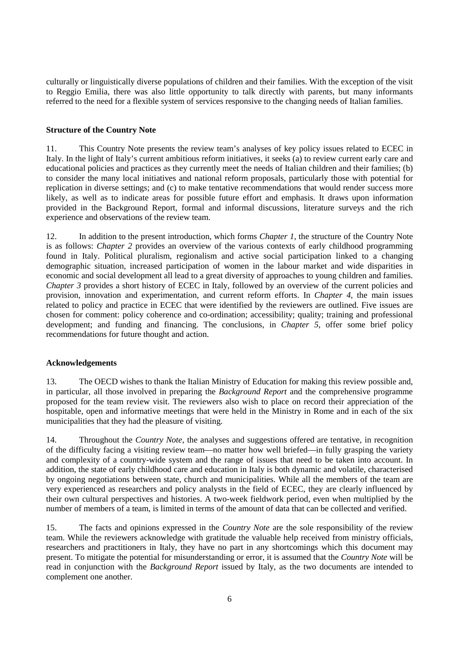culturally or linguistically diverse populations of children and their families. With the exception of the visit to Reggio Emilia, there was also little opportunity to talk directly with parents, but many informants referred to the need for a flexible system of services responsive to the changing needs of Italian families.

## **Structure of the Country Note**

11. This Country Note presents the review team's analyses of key policy issues related to ECEC in Italy. In the light of Italy's current ambitious reform initiatives, it seeks (a) to review current early care and educational policies and practices as they currently meet the needs of Italian children and their families; (b) to consider the many local initiatives and national reform proposals, particularly those with potential for replication in diverse settings; and (c) to make tentative recommendations that would render success more likely, as well as to indicate areas for possible future effort and emphasis. It draws upon information provided in the Background Report, formal and informal discussions, literature surveys and the rich experience and observations of the review team.

12. In addition to the present introduction, which forms *Chapter 1*, the structure of the Country Note is as follows: *Chapter 2* provides an overview of the various contexts of early childhood programming found in Italy. Political pluralism, regionalism and active social participation linked to a changing demographic situation, increased participation of women in the labour market and wide disparities in economic and social development all lead to a great diversity of approaches to young children and families. *Chapter 3* provides a short history of ECEC in Italy, followed by an overview of the current policies and provision, innovation and experimentation, and current reform efforts. In *Chapter 4*, the main issues related to policy and practice in ECEC that were identified by the reviewers are outlined. Five issues are chosen for comment: policy coherence and co-ordination; accessibility; quality; training and professional development; and funding and financing. The conclusions, in *Chapter 5*, offer some brief policy recommendations for future thought and action.

#### **Acknowledgements**

13. The OECD wishes to thank the Italian Ministry of Education for making this review possible and, in particular, all those involved in preparing the *Background Report* and the comprehensive programme proposed for the team review visit. The reviewers also wish to place on record their appreciation of the hospitable, open and informative meetings that were held in the Ministry in Rome and in each of the six municipalities that they had the pleasure of visiting.

14. Throughout the *Country Note*, the analyses and suggestions offered are tentative, in recognition of the difficulty facing a visiting review team—no matter how well briefed—in fully grasping the variety and complexity of a country-wide system and the range of issues that need to be taken into account. In addition, the state of early childhood care and education in Italy is both dynamic and volatile, characterised by ongoing negotiations between state, church and municipalities. While all the members of the team are very experienced as researchers and policy analysts in the field of ECEC, they are clearly influenced by their own cultural perspectives and histories. A two-week fieldwork period, even when multiplied by the number of members of a team, is limited in terms of the amount of data that can be collected and verified.

15. The facts and opinions expressed in the *Country Note* are the sole responsibility of the review team. While the reviewers acknowledge with gratitude the valuable help received from ministry officials, researchers and practitioners in Italy, they have no part in any shortcomings which this document may present. To mitigate the potential for misunderstanding or error, it is assumed that the *Country Note* will be read in conjunction with the *Background Report* issued by Italy, as the two documents are intended to complement one another.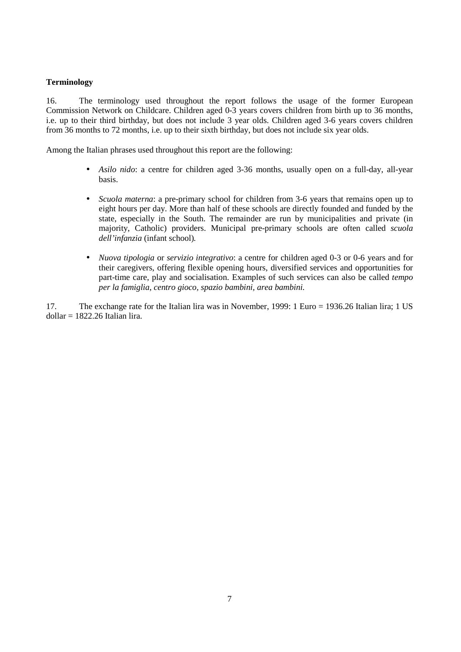# **Terminology**

16. The terminology used throughout the report follows the usage of the former European Commission Network on Childcare. Children aged 0-3 years covers children from birth up to 36 months, i.e. up to their third birthday, but does not include 3 year olds. Children aged 3-6 years covers children from 36 months to 72 months, i.e. up to their sixth birthday, but does not include six year olds.

Among the Italian phrases used throughout this report are the following:

- *Asilo nido*: a centre for children aged 3-36 months, usually open on a full-day, all-year basis.
- *Scuola materna*: a pre-primary school for children from 3-6 years that remains open up to eight hours per day. More than half of these schools are directly founded and funded by the state, especially in the South. The remainder are run by municipalities and private (in majority, Catholic) providers. Municipal pre-primary schools are often called *scuola dell'infanzia* (infant school)*.*
- *Nuova tipologia* or *servizio integrativo*: a centre for children aged 0-3 or 0-6 years and for their caregivers, offering flexible opening hours, diversified services and opportunities for part-time care, play and socialisation. Examples of such services can also be called *tempo per la famiglia*, *centro gioco, spazio bambini, area bambini.*

17. The exchange rate for the Italian lira was in November, 1999: 1 Euro = 1936.26 Italian lira; 1 US  $d$ ollar = 1822.26 Italian lira.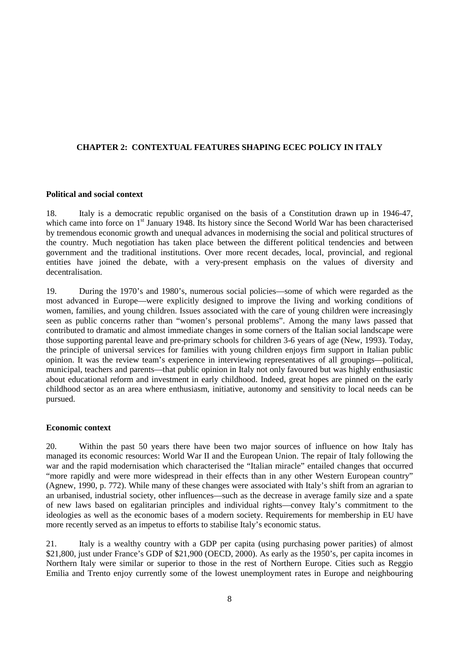# **CHAPTER 2: CONTEXTUAL FEATURES SHAPING ECEC POLICY IN ITALY**

#### **Political and social context**

18. Italy is a democratic republic organised on the basis of a Constitution drawn up in 1946-47, which came into force on 1<sup>st</sup> January 1948. Its history since the Second World War has been characterised by tremendous economic growth and unequal advances in modernising the social and political structures of the country. Much negotiation has taken place between the different political tendencies and between government and the traditional institutions. Over more recent decades, local, provincial, and regional entities have joined the debate, with a very-present emphasis on the values of diversity and decentralisation.

19. During the 1970's and 1980's, numerous social policies—some of which were regarded as the most advanced in Europe—were explicitly designed to improve the living and working conditions of women, families, and young children. Issues associated with the care of young children were increasingly seen as public concerns rather than "women's personal problems". Among the many laws passed that contributed to dramatic and almost immediate changes in some corners of the Italian social landscape were those supporting parental leave and pre-primary schools for children 3-6 years of age (New, 1993). Today, the principle of universal services for families with young children enjoys firm support in Italian public opinion. It was the review team's experience in interviewing representatives of all groupings—political, municipal, teachers and parents—that public opinion in Italy not only favoured but was highly enthusiastic about educational reform and investment in early childhood. Indeed, great hopes are pinned on the early childhood sector as an area where enthusiasm, initiative, autonomy and sensitivity to local needs can be pursued.

#### **Economic context**

20. Within the past 50 years there have been two major sources of influence on how Italy has managed its economic resources: World War II and the European Union. The repair of Italy following the war and the rapid modernisation which characterised the "Italian miracle" entailed changes that occurred "more rapidly and were more widespread in their effects than in any other Western European country" (Agnew, 1990, p. 772). While many of these changes were associated with Italy's shift from an agrarian to an urbanised, industrial society, other influences—such as the decrease in average family size and a spate of new laws based on egalitarian principles and individual rights—convey Italy's commitment to the ideologies as well as the economic bases of a modern society. Requirements for membership in EU have more recently served as an impetus to efforts to stabilise Italy's economic status.

21. Italy is a wealthy country with a GDP per capita (using purchasing power parities) of almost \$21,800, just under France's GDP of \$21,900 (OECD, 2000). As early as the 1950's, per capita incomes in Northern Italy were similar or superior to those in the rest of Northern Europe. Cities such as Reggio Emilia and Trento enjoy currently some of the lowest unemployment rates in Europe and neighbouring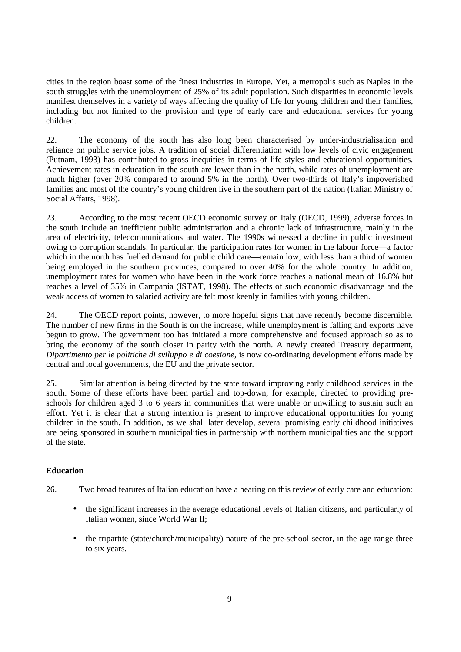cities in the region boast some of the finest industries in Europe. Yet, a metropolis such as Naples in the south struggles with the unemployment of 25% of its adult population. Such disparities in economic levels manifest themselves in a variety of ways affecting the quality of life for young children and their families, including but not limited to the provision and type of early care and educational services for young children.

22. The economy of the south has also long been characterised by under-industrialisation and reliance on public service jobs. A tradition of social differentiation with low levels of civic engagement (Putnam, 1993) has contributed to gross inequities in terms of life styles and educational opportunities. Achievement rates in education in the south are lower than in the north, while rates of unemployment are much higher (over 20% compared to around 5% in the north). Over two-thirds of Italy's impoverished families and most of the country's young children live in the southern part of the nation (Italian Ministry of Social Affairs, 1998).

23. According to the most recent OECD economic survey on Italy (OECD, 1999), adverse forces in the south include an inefficient public administration and a chronic lack of infrastructure, mainly in the area of electricity, telecommunications and water. The 1990s witnessed a decline in public investment owing to corruption scandals. In particular, the participation rates for women in the labour force—a factor which in the north has fuelled demand for public child care—remain low, with less than a third of women being employed in the southern provinces, compared to over 40% for the whole country. In addition, unemployment rates for women who have been in the work force reaches a national mean of 16.8% but reaches a level of 35% in Campania (ISTAT, 1998). The effects of such economic disadvantage and the weak access of women to salaried activity are felt most keenly in families with young children.

24. The OECD report points, however, to more hopeful signs that have recently become discernible. The number of new firms in the South is on the increase, while unemployment is falling and exports have begun to grow. The government too has initiated a more comprehensive and focused approach so as to bring the economy of the south closer in parity with the north. A newly created Treasury department, *Dipartimento per le politiche di sviluppo e di coesione*, is now co-ordinating development efforts made by central and local governments, the EU and the private sector.

25. Similar attention is being directed by the state toward improving early childhood services in the south. Some of these efforts have been partial and top-down, for example, directed to providing preschools for children aged 3 to 6 years in communities that were unable or unwilling to sustain such an effort. Yet it is clear that a strong intention is present to improve educational opportunities for young children in the south. In addition, as we shall later develop, several promising early childhood initiatives are being sponsored in southern municipalities in partnership with northern municipalities and the support of the state.

## **Education**

- 26. Two broad features of Italian education have a bearing on this review of early care and education:
	- the significant increases in the average educational levels of Italian citizens, and particularly of Italian women, since World War II;
	- the tripartite (state/church/municipality) nature of the pre-school sector, in the age range three to six years.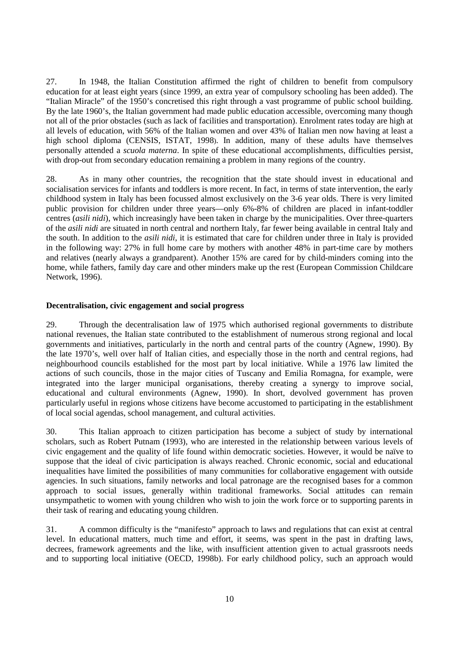27. In 1948, the Italian Constitution affirmed the right of children to benefit from compulsory education for at least eight years (since 1999, an extra year of compulsory schooling has been added). The "Italian Miracle" of the 1950's concretised this right through a vast programme of public school building. By the late 1960's, the Italian government had made public education accessible, overcoming many though not all of the prior obstacles (such as lack of facilities and transportation). Enrolment rates today are high at all levels of education, with 56% of the Italian women and over 43% of Italian men now having at least a high school diploma (CENSIS, ISTAT, 1998). In addition, many of these adults have themselves personally attended a *scuola materna*. In spite of these educational accomplishments, difficulties persist, with drop-out from secondary education remaining a problem in many regions of the country.

28. As in many other countries, the recognition that the state should invest in educational and socialisation services for infants and toddlers is more recent. In fact, in terms of state intervention, the early childhood system in Italy has been focussed almost exclusively on the 3-6 year olds. There is very limited public provision for children under three years—only 6%-8% of children are placed in infant-toddler centres (*asili nidi*), which increasingly have been taken in charge by the municipalities. Over three-quarters of the *asili nidi* are situated in north central and northern Italy, far fewer being available in central Italy and the south. In addition to the *asili nidi*, it is estimated that care for children under three in Italy is provided in the following way: 27% in full home care by mothers with another 48% in part-time care by mothers and relatives (nearly always a grandparent). Another 15% are cared for by child-minders coming into the home, while fathers, family day care and other minders make up the rest (European Commission Childcare Network, 1996).

#### **Decentralisation, civic engagement and social progress**

29. Through the decentralisation law of 1975 which authorised regional governments to distribute national revenues, the Italian state contributed to the establishment of numerous strong regional and local governments and initiatives, particularly in the north and central parts of the country (Agnew, 1990). By the late 1970's, well over half of Italian cities, and especially those in the north and central regions, had neighbourhood councils established for the most part by local initiative. While a 1976 law limited the actions of such councils, those in the major cities of Tuscany and Emilia Romagna, for example, were integrated into the larger municipal organisations, thereby creating a synergy to improve social, educational and cultural environments (Agnew, 1990). In short, devolved government has proven particularly useful in regions whose citizens have become accustomed to participating in the establishment of local social agendas, school management, and cultural activities.

30. This Italian approach to citizen participation has become a subject of study by international scholars, such as Robert Putnam (1993), who are interested in the relationship between various levels of civic engagement and the quality of life found within democratic societies. However, it would be naïve to suppose that the ideal of civic participation is always reached. Chronic economic, social and educational inequalities have limited the possibilities of many communities for collaborative engagement with outside agencies. In such situations, family networks and local patronage are the recognised bases for a common approach to social issues, generally within traditional frameworks. Social attitudes can remain unsympathetic to women with young children who wish to join the work force or to supporting parents in their task of rearing and educating young children.

31. A common difficulty is the "manifesto" approach to laws and regulations that can exist at central level. In educational matters, much time and effort, it seems, was spent in the past in drafting laws, decrees, framework agreements and the like, with insufficient attention given to actual grassroots needs and to supporting local initiative (OECD, 1998b). For early childhood policy, such an approach would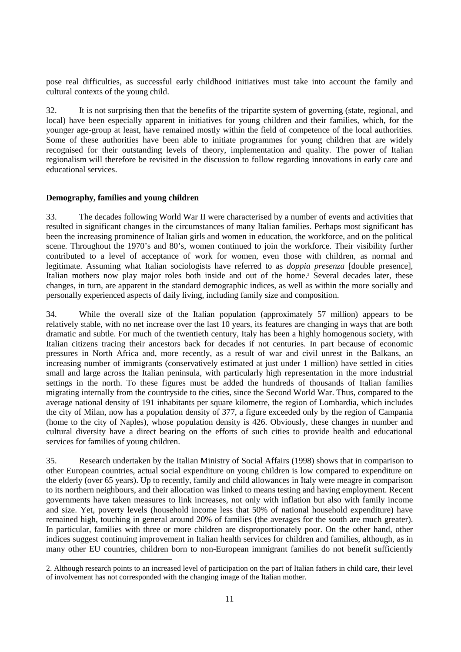pose real difficulties, as successful early childhood initiatives must take into account the family and cultural contexts of the young child.

32. It is not surprising then that the benefits of the tripartite system of governing (state, regional, and local) have been especially apparent in initiatives for young children and their families, which, for the younger age-group at least, have remained mostly within the field of competence of the local authorities. Some of these authorities have been able to initiate programmes for young children that are widely recognised for their outstanding levels of theory, implementation and quality. The power of Italian regionalism will therefore be revisited in the discussion to follow regarding innovations in early care and educational services.

#### **Demography, families and young children**

33. The decades following World War II were characterised by a number of events and activities that resulted in significant changes in the circumstances of many Italian families. Perhaps most significant has been the increasing prominence of Italian girls and women in education, the workforce, and on the political scene. Throughout the 1970's and 80's, women continued to join the workforce. Their visibility further contributed to a level of acceptance of work for women, even those with children, as normal and legitimate. Assuming what Italian sociologists have referred to as *doppia presenza* [double presence], Italian mothers now play major roles both inside and out of the home.<sup>2</sup> Several decades later, these changes, in turn, are apparent in the standard demographic indices, as well as within the more socially and personally experienced aspects of daily living, including family size and composition.

34. While the overall size of the Italian population (approximately 57 million) appears to be relatively stable, with no net increase over the last 10 years, its features are changing in ways that are both dramatic and subtle. For much of the twentieth century, Italy has been a highly homogenous society, with Italian citizens tracing their ancestors back for decades if not centuries. In part because of economic pressures in North Africa and, more recently, as a result of war and civil unrest in the Balkans, an increasing number of immigrants (conservatively estimated at just under 1 million) have settled in cities small and large across the Italian peninsula, with particularly high representation in the more industrial settings in the north. To these figures must be added the hundreds of thousands of Italian families migrating internally from the countryside to the cities, since the Second World War. Thus, compared to the average national density of 191 inhabitants per square kilometre, the region of Lombardia, which includes the city of Milan, now has a population density of 377, a figure exceeded only by the region of Campania (home to the city of Naples), whose population density is 426. Obviously, these changes in number and cultural diversity have a direct bearing on the efforts of such cities to provide health and educational services for families of young children.

35. Research undertaken by the Italian Ministry of Social Affairs (1998) shows that in comparison to other European countries, actual social expenditure on young children is low compared to expenditure on the elderly (over 65 years). Up to recently, family and child allowances in Italy were meagre in comparison to its northern neighbours, and their allocation was linked to means testing and having employment. Recent governments have taken measures to link increases, not only with inflation but also with family income and size. Yet, poverty levels (household income less that 50% of national household expenditure) have remained high, touching in general around 20% of families (the averages for the south are much greater). In particular, families with three or more children are disproportionately poor. On the other hand, other indices suggest continuing improvement in Italian health services for children and families, although, as in many other EU countries, children born to non-European immigrant families do not benefit sufficiently

<sup>2.</sup> Although research points to an increased level of participation on the part of Italian fathers in child care, their level of involvement has not corresponded with the changing image of the Italian mother.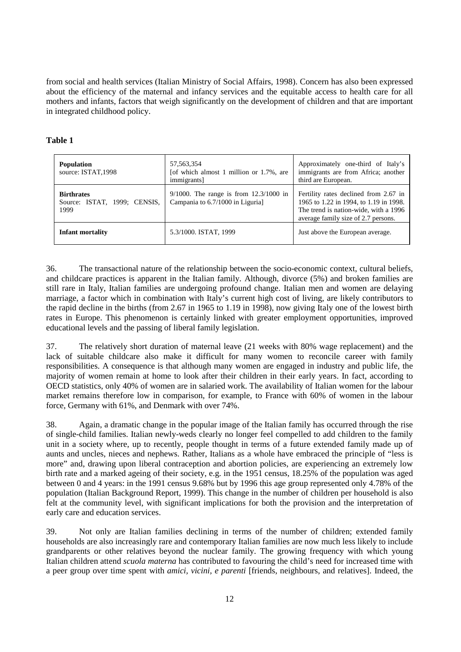from social and health services (Italian Ministry of Social Affairs, 1998). Concern has also been expressed about the efficiency of the maternal and infancy services and the equitable access to health care for all mothers and infants, factors that weigh significantly on the development of children and that are important in integrated childhood policy.

## **Table 1**

| <b>Population</b><br>source: ISTAT, 1998                  | 57, 563, 354<br>[of which almost 1 million or 1.7%, are<br><i>immigrants</i> ]  | Approximately one-third of Italy's<br>immigrants are from Africa; another<br>third are European.                                                                |
|-----------------------------------------------------------|---------------------------------------------------------------------------------|-----------------------------------------------------------------------------------------------------------------------------------------------------------------|
| <b>Birthrates</b><br>Source: ISTAT, 1999; CENSIS,<br>1999 | $9/1000$ . The range is from $12.3/1000$ in<br>Campania to 6.7/1000 in Liguria] | Fertility rates declined from 2.67 in<br>1965 to 1.22 in 1994, to 1.19 in 1998.<br>The trend is nation-wide, with a 1996<br>average family size of 2.7 persons. |
| <b>Infant mortality</b>                                   | 5.3/1000. ISTAT, 1999                                                           | Just above the European average.                                                                                                                                |

36. The transactional nature of the relationship between the socio-economic context, cultural beliefs, and childcare practices is apparent in the Italian family. Although, divorce (5%) and broken families are still rare in Italy, Italian families are undergoing profound change. Italian men and women are delaying marriage, a factor which in combination with Italy's current high cost of living, are likely contributors to the rapid decline in the births (from 2.67 in 1965 to 1.19 in 1998), now giving Italy one of the lowest birth rates in Europe. This phenomenon is certainly linked with greater employment opportunities, improved educational levels and the passing of liberal family legislation.

37. The relatively short duration of maternal leave (21 weeks with 80% wage replacement) and the lack of suitable childcare also make it difficult for many women to reconcile career with family responsibilities. A consequence is that although many women are engaged in industry and public life, the majority of women remain at home to look after their children in their early years. In fact, according to OECD statistics, only 40% of women are in salaried work. The availability of Italian women for the labour market remains therefore low in comparison, for example, to France with 60% of women in the labour force, Germany with 61%, and Denmark with over 74%.

38. Again, a dramatic change in the popular image of the Italian family has occurred through the rise of single-child families. Italian newly-weds clearly no longer feel compelled to add children to the family unit in a society where, up to recently, people thought in terms of a future extended family made up of aunts and uncles, nieces and nephews. Rather, Italians as a whole have embraced the principle of "less is more" and, drawing upon liberal contraception and abortion policies, are experiencing an extremely low birth rate and a marked ageing of their society, e.g. in the 1951 census, 18.25% of the population was aged between 0 and 4 years: in the 1991 census 9.68% but by 1996 this age group represented only 4.78% of the population (Italian Background Report, 1999). This change in the number of children per household is also felt at the community level, with significant implications for both the provision and the interpretation of early care and education services.

39. Not only are Italian families declining in terms of the number of children; extended family households are also increasingly rare and contemporary Italian families are now much less likely to include grandparents or other relatives beyond the nuclear family. The growing frequency with which young Italian children attend *scuola materna* has contributed to favouring the child's need for increased time with a peer group over time spent with *amici, vicini, e parenti* [friends, neighbours, and relatives]. Indeed, the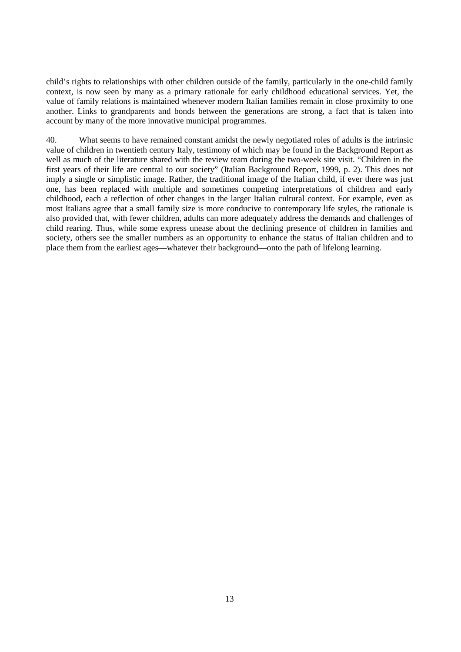child's rights to relationships with other children outside of the family, particularly in the one-child family context, is now seen by many as a primary rationale for early childhood educational services. Yet, the value of family relations is maintained whenever modern Italian families remain in close proximity to one another. Links to grandparents and bonds between the generations are strong, a fact that is taken into account by many of the more innovative municipal programmes.

40. What seems to have remained constant amidst the newly negotiated roles of adults is the intrinsic value of children in twentieth century Italy, testimony of which may be found in the Background Report as well as much of the literature shared with the review team during the two-week site visit. "Children in the first years of their life are central to our society" (Italian Background Report, 1999, p. 2). This does not imply a single or simplistic image. Rather, the traditional image of the Italian child, if ever there was just one, has been replaced with multiple and sometimes competing interpretations of children and early childhood, each a reflection of other changes in the larger Italian cultural context. For example, even as most Italians agree that a small family size is more conducive to contemporary life styles, the rationale is also provided that, with fewer children, adults can more adequately address the demands and challenges of child rearing. Thus, while some express unease about the declining presence of children in families and society, others see the smaller numbers as an opportunity to enhance the status of Italian children and to place them from the earliest ages—whatever their background—onto the path of lifelong learning.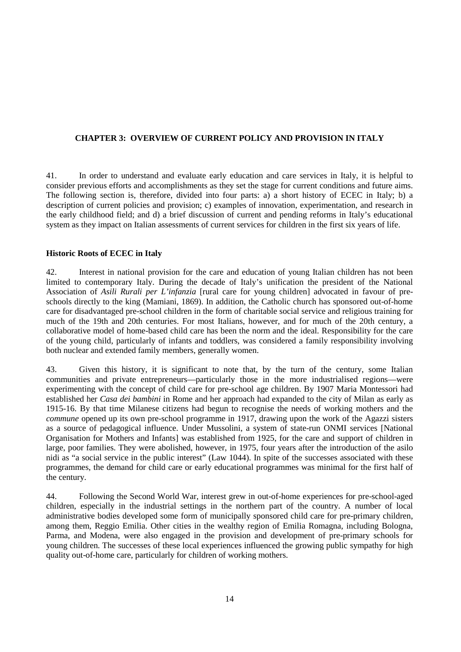## **CHAPTER 3: OVERVIEW OF CURRENT POLICY AND PROVISION IN ITALY**

41. In order to understand and evaluate early education and care services in Italy, it is helpful to consider previous efforts and accomplishments as they set the stage for current conditions and future aims. The following section is, therefore, divided into four parts: a) a short history of ECEC in Italy; b) a description of current policies and provision; c) examples of innovation, experimentation, and research in the early childhood field; and d) a brief discussion of current and pending reforms in Italy's educational system as they impact on Italian assessments of current services for children in the first six years of life.

#### **Historic Roots of ECEC in Italy**

42. Interest in national provision for the care and education of young Italian children has not been limited to contemporary Italy. During the decade of Italy's unification the president of the National Association of *Asili Rurali per L'infanzia* [rural care for young children] advocated in favour of preschools directly to the king (Mamiani, 1869). In addition, the Catholic church has sponsored out-of-home care for disadvantaged pre-school children in the form of charitable social service and religious training for much of the 19th and 20th centuries. For most Italians, however, and for much of the 20th century, a collaborative model of home-based child care has been the norm and the ideal. Responsibility for the care of the young child, particularly of infants and toddlers, was considered a family responsibility involving both nuclear and extended family members, generally women.

43. Given this history, it is significant to note that, by the turn of the century, some Italian communities and private entrepreneurs—particularly those in the more industrialised regions—were experimenting with the concept of child care for pre-school age children. By 1907 Maria Montessori had established her *Casa dei bambini* in Rome and her approach had expanded to the city of Milan as early as 1915-16. By that time Milanese citizens had begun to recognise the needs of working mothers and the *commune* opened up its own pre-school programme in 1917, drawing upon the work of the Agazzi sisters as a source of pedagogical influence. Under Mussolini, a system of state-run ONMI services [National Organisation for Mothers and Infants] was established from 1925, for the care and support of children in large, poor families. They were abolished, however, in 1975, four years after the introduction of the asilo nidi as "a social service in the public interest" (Law 1044). In spite of the successes associated with these programmes, the demand for child care or early educational programmes was minimal for the first half of the century.

44. Following the Second World War, interest grew in out-of-home experiences for pre-school-aged children, especially in the industrial settings in the northern part of the country. A number of local administrative bodies developed some form of municipally sponsored child care for pre-primary children, among them, Reggio Emilia. Other cities in the wealthy region of Emilia Romagna, including Bologna, Parma, and Modena, were also engaged in the provision and development of pre-primary schools for young children. The successes of these local experiences influenced the growing public sympathy for high quality out-of-home care, particularly for children of working mothers.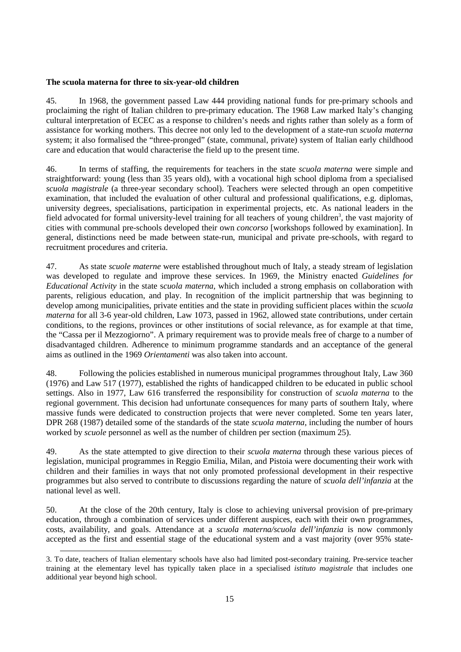## **The scuola materna for three to six-year-old children**

45. In 1968, the government passed Law 444 providing national funds for pre-primary schools and proclaiming the right of Italian children to pre-primary education. The 1968 Law marked Italy's changing cultural interpretation of ECEC as a response to children's needs and rights rather than solely as a form of assistance for working mothers. This decree not only led to the development of a state-run *scuola materna* system; it also formalised the "three-pronged" (state, communal, private) system of Italian early childhood care and education that would characterise the field up to the present time.

46. In terms of staffing, the requirements for teachers in the state *scuola materna* were simple and straightforward: young (less than 35 years old), with a vocational high school diploma from a specialised *scuola magistrale* (a three-year secondary school). Teachers were selected through an open competitive examination, that included the evaluation of other cultural and professional qualifications, e.g. diplomas, university degrees, specialisations, participation in experimental projects, etc. As national leaders in the field advocated for formal university-level training for all teachers of young children<sup>3</sup>, the vast majority of cities with communal pre-schools developed their own *concorso* [workshops followed by examination]. In general, distinctions need be made between state-run, municipal and private pre-schools, with regard to recruitment procedures and criteria.

47. As state *scuole materne* were established throughout much of Italy, a steady stream of legislation was developed to regulate and improve these services. In 1969, the Ministry enacted *Guidelines for Educational Activity* in the state s*cuola materna*, which included a strong emphasis on collaboration with parents, religious education, and play. In recognition of the implicit partnership that was beginning to develop among municipalities, private entities and the state in providing sufficient places within the *scuola materna* for all 3-6 year-old children, Law 1073, passed in 1962, allowed state contributions, under certain conditions, to the regions, provinces or other institutions of social relevance, as for example at that time, the "Cassa per il Mezzogiorno". A primary requirement was to provide meals free of charge to a number of disadvantaged children. Adherence to minimum programme standards and an acceptance of the general aims as outlined in the 1969 *Orientamenti* was also taken into account.

48. Following the policies established in numerous municipal programmes throughout Italy, Law 360 (1976) and Law 517 (1977), established the rights of handicapped children to be educated in public school settings. Also in 1977, Law 616 transferred the responsibility for construction of *scuola materna* to the regional government. This decision had unfortunate consequences for many parts of southern Italy, where massive funds were dedicated to construction projects that were never completed. Some ten years later, DPR 268 (1987) detailed some of the standards of the state *scuola materna*, including the number of hours worked by *scuole* personnel as well as the number of children per section (maximum 25).

49. As the state attempted to give direction to their *scuola materna* through these various pieces of legislation, municipal programmes in Reggio Emilia, Milan, and Pistoia were documenting their work with children and their families in ways that not only promoted professional development in their respective programmes but also served to contribute to discussions regarding the nature of *scuola dell'infanzia* at the national level as well.

50. At the close of the 20th century, Italy is close to achieving universal provision of pre-primary education, through a combination of services under different auspices, each with their own programmes, costs, availability, and goals. Attendance at a *scuola materna/scuola dell'infanzia* is now commonly accepted as the first and essential stage of the educational system and a vast majority (over 95% state-

 $\overline{a}$ 

<sup>3.</sup> To date, teachers of Italian elementary schools have also had limited post-secondary training. Pre-service teacher training at the elementary level has typically taken place in a specialised *istituto magistrale* that includes one additional year beyond high school.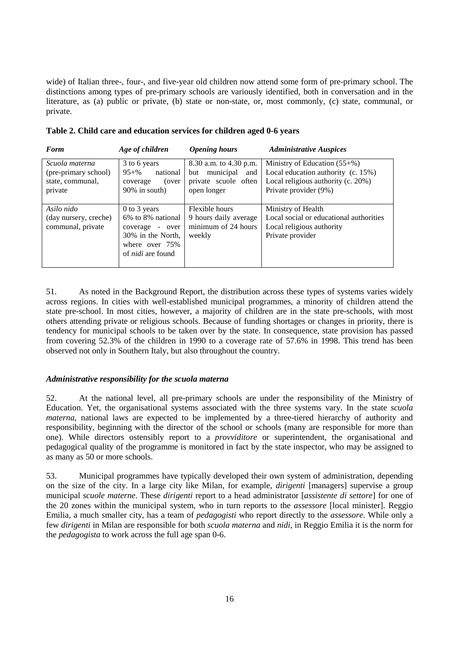wide) of Italian three-, four-, and five-year old children now attend some form of pre-primary school. The distinctions among types of pre-primary schools are variously identified, both in conversation and in the literature, as (a) public or private, (b) state or non-state, or, most commonly, (c) state, communal, or private.

| <b>Form</b>                                                           | Age of children                                                                                                           | <b>Opening hours</b>                                                                     | <b>Administrative Auspices</b>                                                                                                      |  |  |
|-----------------------------------------------------------------------|---------------------------------------------------------------------------------------------------------------------------|------------------------------------------------------------------------------------------|-------------------------------------------------------------------------------------------------------------------------------------|--|--|
| Scuola materna<br>(pre-primary school)<br>state, communal,<br>private | 3 to 6 years<br>$95 + \%$<br>national<br>(over<br>coverage<br>90% in south)                                               | 8.30 a.m. to 4.30 p.m.<br>municipal<br>but<br>and<br>private scuole often<br>open longer | Ministry of Education $(55+%)$<br>Local education authority (c. 15%)<br>Local religious authority (c. 20%)<br>Private provider (9%) |  |  |
| Asilo nido<br>(day nursery, creche)<br>communal, private              | 0 to 3 years<br>6\% to 8\% national<br>coverage - over<br>30% in the North,<br>where over 75%<br>of <i>nidi</i> are found | Flexible hours<br>9 hours daily average<br>minimum of 24 hours<br>weekly                 | Ministry of Health<br>Local social or educational authorities<br>Local religious authority<br>Private provider                      |  |  |

|  |  |  | Table 2. Child care and education services for children aged 0-6 years |  |  |  |  |  |  |
|--|--|--|------------------------------------------------------------------------|--|--|--|--|--|--|
|--|--|--|------------------------------------------------------------------------|--|--|--|--|--|--|

51. As noted in the Background Report, the distribution across these types of systems varies widely across regions. In cities with well-established municipal programmes, a minority of children attend the state pre-school. In most cities, however, a majority of children are in the state pre-schools, with most others attending private or religious schools. Because of funding shortages or changes in priority, there is tendency for municipal schools to be taken over by the state. In consequence, state provision has passed from covering 52.3% of the children in 1990 to a coverage rate of 57.6% in 1998. This trend has been observed not only in Southern Italy, but also throughout the country.

#### *Administrative responsibility for the scuola materna*

52. At the national level, all pre-primary schools are under the responsibility of the Ministry of Education. Yet, the organisational systems associated with the three systems vary. In the state *scuola materna*, national laws are expected to be implemented by a three-tiered hierarchy of authority and responsibility, beginning with the director of the school or schools (many are responsible for more than one). While directors ostensibly report to a *provviditore* or superintendent, the organisational and pedagogical quality of the programme is monitored in fact by the state inspector, who may be assigned to as many as 50 or more schools.

53. Municipal programmes have typically developed their own system of administration, depending on the size of the city. In a large city like Milan, for example, *dirigenti* [managers] supervise a group municipal *scuole materne*. These *dirigenti* report to a head administrator [*assistente di settore*] for one of the 20 zones within the municipal system, who in turn reports to the *assessore* [local minister]. Reggio Emilia, a much smaller city, has a team of *pedagogisti* who report directly to the *assessore*. While only a few *dirigenti* in Milan are responsible for both *scuola materna* and *nidi*, in Reggio Emilia it is the norm for the *pedagogista* to work across the full age span 0-6.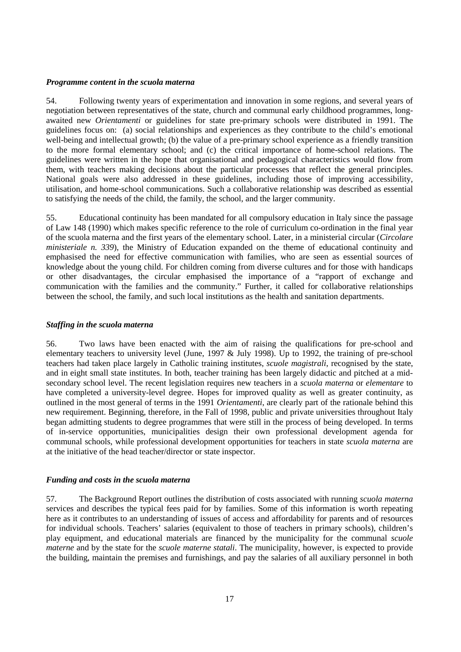#### *Programme content in the scuola materna*

54. Following twenty years of experimentation and innovation in some regions, and several years of negotiation between representatives of the state, church and communal early childhood programmes, longawaited new *Orientamenti* or guidelines for state pre-primary schools were distributed in 1991. The guidelines focus on: (a) social relationships and experiences as they contribute to the child's emotional well-being and intellectual growth; (b) the value of a pre-primary school experience as a friendly transition to the more formal elementary school; and (c) the critical importance of home-school relations. The guidelines were written in the hope that organisational and pedagogical characteristics would flow from them, with teachers making decisions about the particular processes that reflect the general principles. National goals were also addressed in these guidelines, including those of improving accessibility, utilisation, and home-school communications. Such a collaborative relationship was described as essential to satisfying the needs of the child, the family, the school, and the larger community.

55. Educational continuity has been mandated for all compulsory education in Italy since the passage of Law 148 (1990) which makes specific reference to the role of curriculum co-ordination in the final year of the scuola materna and the first years of the elementary school. Later, in a ministerial circular (*Circolare ministeriale n. 339*), the Ministry of Education expanded on the theme of educational continuity and emphasised the need for effective communication with families, who are seen as essential sources of knowledge about the young child. For children coming from diverse cultures and for those with handicaps or other disadvantages, the circular emphasised the importance of a "rapport of exchange and communication with the families and the community." Further, it called for collaborative relationships between the school, the family, and such local institutions as the health and sanitation departments.

#### *Staffing in the scuola materna*

56. Two laws have been enacted with the aim of raising the qualifications for pre-school and elementary teachers to university level (June, 1997 & July 1998). Up to 1992, the training of pre-school teachers had taken place largely in Catholic training institutes, *scuole magistrali*, recognised by the state, and in eight small state institutes. In both, teacher training has been largely didactic and pitched at a midsecondary school level. The recent legislation requires new teachers in a *scuola materna* or *elementare* to have completed a university-level degree. Hopes for improved quality as well as greater continuity, as outlined in the most general of terms in the 1991 *Orientamenti*, are clearly part of the rationale behind this new requirement. Beginning, therefore, in the Fall of 1998, public and private universities throughout Italy began admitting students to degree programmes that were still in the process of being developed. In terms of in-service opportunities, municipalities design their own professional development agenda for communal schools, while professional development opportunities for teachers in state *scuola materna* are at the initiative of the head teacher/director or state inspector.

#### *Funding and costs in the scuola materna*

57. The Background Report outlines the distribution of costs associated with running *scuola materna* services and describes the typical fees paid for by families. Some of this information is worth repeating here as it contributes to an understanding of issues of access and affordability for parents and of resources for individual schools. Teachers' salaries (equivalent to those of teachers in primary schools), children's play equipment, and educational materials are financed by the municipality for the communal *scuole materne* and by the state for the *scuole materne statali*. The municipality, however, is expected to provide the building, maintain the premises and furnishings, and pay the salaries of all auxiliary personnel in both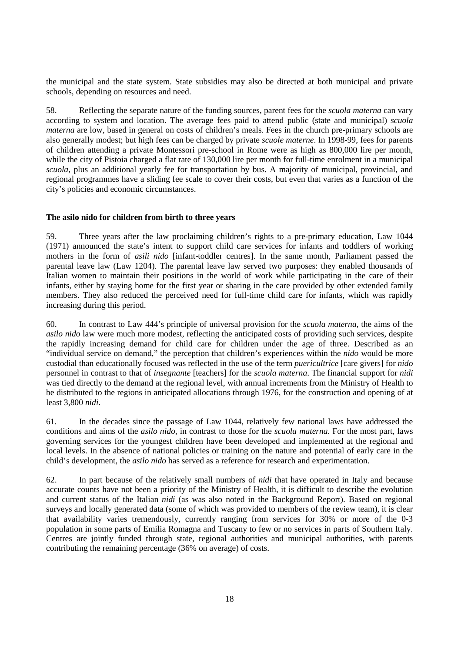the municipal and the state system. State subsidies may also be directed at both municipal and private schools, depending on resources and need.

58. Reflecting the separate nature of the funding sources, parent fees for the *scuola materna* can vary according to system and location. The average fees paid to attend public (state and municipal) *scuola materna* are low, based in general on costs of children's meals. Fees in the church pre-primary schools are also generally modest; but high fees can be charged by private *scuole materne*. In 1998-99, fees for parents of children attending a private Montessori pre-school in Rome were as high as 800,000 lire per month, while the city of Pistoia charged a flat rate of 130,000 lire per month for full-time enrolment in a municipal *scuola*, plus an additional yearly fee for transportation by bus. A majority of municipal, provincial, and regional programmes have a sliding fee scale to cover their costs, but even that varies as a function of the city's policies and economic circumstances.

#### **The asilo nido for children from birth to three years**

59. Three years after the law proclaiming children's rights to a pre-primary education, Law 1044 (1971) announced the state's intent to support child care services for infants and toddlers of working mothers in the form of *asili nido* [infant-toddler centres]. In the same month, Parliament passed the parental leave law (Law 1204). The parental leave law served two purposes: they enabled thousands of Italian women to maintain their positions in the world of work while participating in the care of their infants, either by staying home for the first year or sharing in the care provided by other extended family members. They also reduced the perceived need for full-time child care for infants, which was rapidly increasing during this period.

60. In contrast to Law 444's principle of universal provision for the *scuola materna*, the aims of the *asilo nido* law were much more modest, reflecting the anticipated costs of providing such services, despite the rapidly increasing demand for child care for children under the age of three. Described as an "individual service on demand," the perception that children's experiences within the *nido* would be more custodial than educationally focused was reflected in the use of the term *puericultrice* [care givers] for *nido* personnel in contrast to that of *insegnante* [teachers] for the *scuola materna*. The financial support for *nidi* was tied directly to the demand at the regional level, with annual increments from the Ministry of Health to be distributed to the regions in anticipated allocations through 1976, for the construction and opening of at least 3,800 *nidi*.

61. In the decades since the passage of Law 1044, relatively few national laws have addressed the conditions and aims of the *asilo nido*, in contrast to those for the *scuola materna.* For the most part, laws governing services for the youngest children have been developed and implemented at the regional and local levels. In the absence of national policies or training on the nature and potential of early care in the child's development, the *asilo nido* has served as a reference for research and experimentation.

62. In part because of the relatively small numbers of *nidi* that have operated in Italy and because accurate counts have not been a priority of the Ministry of Health, it is difficult to describe the evolution and current status of the Italian *nidi* (as was also noted in the Background Report). Based on regional surveys and locally generated data (some of which was provided to members of the review team), it is clear that availability varies tremendously, currently ranging from services for 30% or more of the 0-3 population in some parts of Emilia Romagna and Tuscany to few or no services in parts of Southern Italy. Centres are jointly funded through state, regional authorities and municipal authorities, with parents contributing the remaining percentage (36% on average) of costs.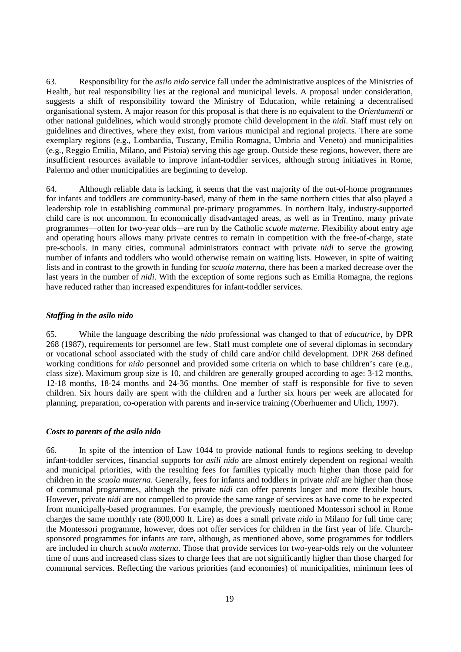63. Responsibility for the *asilo nido* service fall under the administrative auspices of the Ministries of Health, but real responsibility lies at the regional and municipal levels. A proposal under consideration, suggests a shift of responsibility toward the Ministry of Education, while retaining a decentralised organisational system. A major reason for this proposal is that there is no equivalent to the *Orientamenti* or other national guidelines, which would strongly promote child development in the *nidi*. Staff must rely on guidelines and directives, where they exist, from various municipal and regional projects. There are some exemplary regions (e.g., Lombardia, Tuscany, Emilia Romagna, Umbria and Veneto) and municipalities (e.g., Reggio Emilia, Milano, and Pistoia) serving this age group. Outside these regions, however, there are insufficient resources available to improve infant-toddler services, although strong initiatives in Rome, Palermo and other municipalities are beginning to develop.

64. Although reliable data is lacking, it seems that the vast majority of the out-of-home programmes for infants and toddlers are community-based, many of them in the same northern cities that also played a leadership role in establishing communal pre-primary programmes. In northern Italy, industry-supported child care is not uncommon. In economically disadvantaged areas, as well as in Trentino, many private programmes—often for two-year olds*—*are run by the Catholic *scuole materne*. Flexibility about entry age and operating hours allows many private centres to remain in competition with the free-of-charge, state pre-schools. In many cities, communal administrators contract with private *nidi* to serve the growing number of infants and toddlers who would otherwise remain on waiting lists. However, in spite of waiting lists and in contrast to the growth in funding for *scuola materna*, there has been a marked decrease over the last years in the number of *nidi*. With the exception of some regions such as Emilia Romagna, the regions have reduced rather than increased expenditures for infant-toddler services.

## *Staffing in the asilo nido*

65. While the language describing the *nido* professional was changed to that of *educatrice*, by DPR 268 (1987), requirements for personnel are few. Staff must complete one of several diplomas in secondary or vocational school associated with the study of child care and/or child development. DPR 268 defined working conditions for *nido* personnel and provided some criteria on which to base children's care (e.g., class size). Maximum group size is 10, and children are generally grouped according to age: 3-12 months, 12-18 months, 18-24 months and 24-36 months. One member of staff is responsible for five to seven children. Six hours daily are spent with the children and a further six hours per week are allocated for planning, preparation, co-operation with parents and in-service training (Oberhuemer and Ulich, 1997).

#### *Costs to parents of the asilo nido*

66. In spite of the intention of Law 1044 to provide national funds to regions seeking to develop infant-toddler services, financial supports for *asili nido* are almost entirely dependent on regional wealth and municipal priorities, with the resulting fees for families typically much higher than those paid for children in the *scuola materna*. Generally, fees for infants and toddlers in private *nidi* are higher than those of communal programmes, although the private *nidi* can offer parents longer and more flexible hours. However, private *nidi* are not compelled to provide the same range of services as have come to be expected from municipally-based programmes. For example, the previously mentioned Montessori school in Rome charges the same monthly rate (800,000 It. Lire) as does a small private *nido* in Milano for full time care; the Montessori programme, however, does not offer services for children in the first year of life. Churchsponsored programmes for infants are rare, although, as mentioned above, some programmes for toddlers are included in church *scuola materna*. Those that provide services for two-year-olds rely on the volunteer time of nuns and increased class sizes to charge fees that are not significantly higher than those charged for communal services. Reflecting the various priorities (and economies) of municipalities, minimum fees of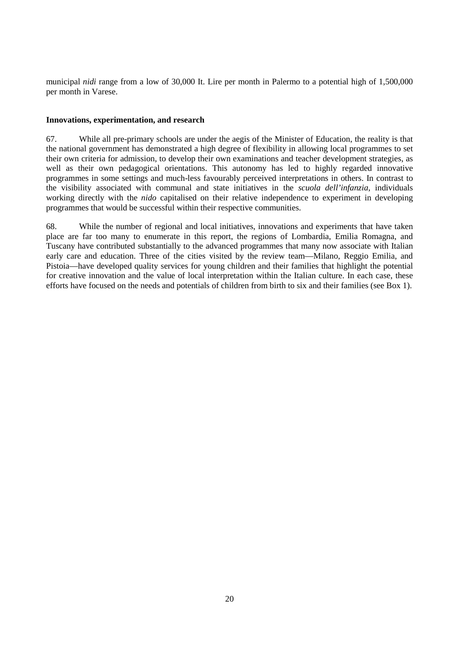municipal *nidi* range from a low of 30,000 It. Lire per month in Palermo to a potential high of 1,500,000 per month in Varese.

## **Innovations, experimentation, and research**

67. While all pre-primary schools are under the aegis of the Minister of Education, the reality is that the national government has demonstrated a high degree of flexibility in allowing local programmes to set their own criteria for admission, to develop their own examinations and teacher development strategies, as well as their own pedagogical orientations. This autonomy has led to highly regarded innovative programmes in some settings and much-less favourably perceived interpretations in others. In contrast to the visibility associated with communal and state initiatives in the *scuola dell'infanzia*, individuals working directly with the *nido* capitalised on their relative independence to experiment in developing programmes that would be successful within their respective communities.

68. While the number of regional and local initiatives, innovations and experiments that have taken place are far too many to enumerate in this report, the regions of Lombardia, Emilia Romagna, and Tuscany have contributed substantially to the advanced programmes that many now associate with Italian early care and education. Three of the cities visited by the review team—Milano, Reggio Emilia, and Pistoia—have developed quality services for young children and their families that highlight the potential for creative innovation and the value of local interpretation within the Italian culture. In each case, these efforts have focused on the needs and potentials of children from birth to six and their families (see Box 1).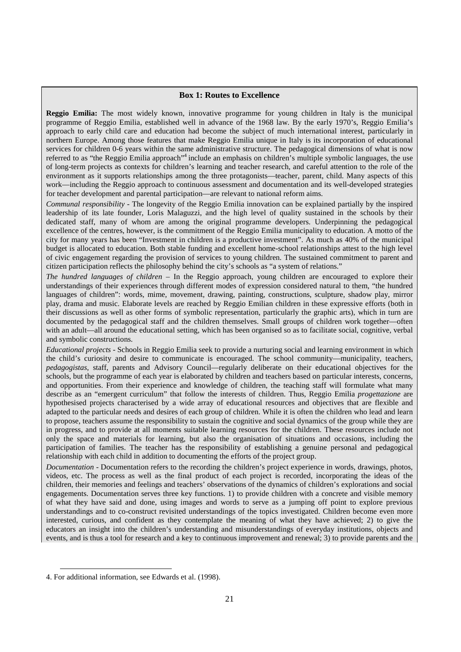#### **Box 1: Routes to Excellence**

**Reggio Emilia:** The most widely known, innovative programme for young children in Italy is the municipal programme of Reggio Emilia, established well in advance of the 1968 law. By the early 1970's, Reggio Emilia's approach to early child care and education had become the subject of much international interest, particularly in northern Europe. Among those features that make Reggio Emilia unique in Italy is its incorporation of educational services for children 0-6 years within the same administrative structure. The pedagogical dimensions of what is now referred to as "the Reggio Emilia approach"<sup>4</sup> include an emphasis on children's multiple symbolic languages, the use of long-term projects as contexts for children's learning and teacher research, and careful attention to the role of the environment as it supports relationships among the three protagonists—teacher, parent, child. Many aspects of this work—including the Reggio approach to continuous assessment and documentation and its well-developed strategies for teacher development and parental participation—are relevant to national reform aims.

*Communal responsibility* - The longevity of the Reggio Emilia innovation can be explained partially by the inspired leadership of its late founder, Loris Malaguzzi, and the high level of quality sustained in the schools by their dedicated staff, many of whom are among the original programme developers. Underpinning the pedagogical excellence of the centres, however, is the commitment of the Reggio Emilia municipality to education. A motto of the city for many years has been "Investment in children is a productive investment". As much as 40% of the municipal budget is allocated to education. Both stable funding and excellent home-school relationships attest to the high level of civic engagement regarding the provision of services to young children. The sustained commitment to parent and citizen participation reflects the philosophy behind the city's schools as "a system of relations."

*The hundred languages of children* – In the Reggio approach, young children are encouraged to explore their understandings of their experiences through different modes of expression considered natural to them, "the hundred languages of children": words, mime, movement, drawing, painting, constructions, sculpture, shadow play, mirror play, drama and music. Elaborate levels are reached by Reggio Emilian children in these expressive efforts (both in their discussions as well as other forms of symbolic representation, particularly the graphic arts), which in turn are documented by the pedagogical staff and the children themselves. Small groups of children work together—often with an adult—all around the educational setting, which has been organised so as to facilitate social, cognitive, verbal and symbolic constructions.

*Educational projects* - Schools in Reggio Emilia seek to provide a nurturing social and learning environment in which the child's curiosity and desire to communicate is encouraged. The school community—municipality, teachers, *pedagogistas*, staff, parents and Advisory Council—regularly deliberate on their educational objectives for the schools, but the programme of each year is elaborated by children and teachers based on particular interests, concerns, and opportunities. From their experience and knowledge of children, the teaching staff will formulate what many describe as an "emergent curriculum" that follow the interests of children. Thus, Reggio Emilia *progettazione* are hypothesised projects characterised by a wide array of educational resources and objectives that are flexible and adapted to the particular needs and desires of each group of children. While it is often the children who lead and learn to propose, teachers assume the responsibility to sustain the cognitive and social dynamics of the group while they are in progress, and to provide at all moments suitable learning resources for the children. These resources include not only the space and materials for learning, but also the organisation of situations and occasions, including the participation of families. The teacher has the responsibility of establishing a genuine personal and pedagogical relationship with each child in addition to documenting the efforts of the project group.

*Documentation* - Documentation refers to the recording the children's project experience in words, drawings, photos, videos, etc. The process as well as the final product of each project is recorded, incorporating the ideas of the children, their memories and feelings and teachers' observations of the dynamics of children's explorations and social engagements. Documentation serves three key functions. 1) to provide children with a concrete and visible memory of what they have said and done, using images and words to serve as a jumping off point to explore previous understandings and to co-construct revisited understandings of the topics investigated. Children become even more interested, curious, and confident as they contemplate the meaning of what they have achieved; 2) to give the educators an insight into the children's understanding and misunderstandings of everyday institutions, objects and events, and is thus a tool for research and a key to continuous improvement and renewal; 3) to provide parents and the

 $\overline{a}$ 

<sup>4.</sup> For additional information, see Edwards et al. (1998).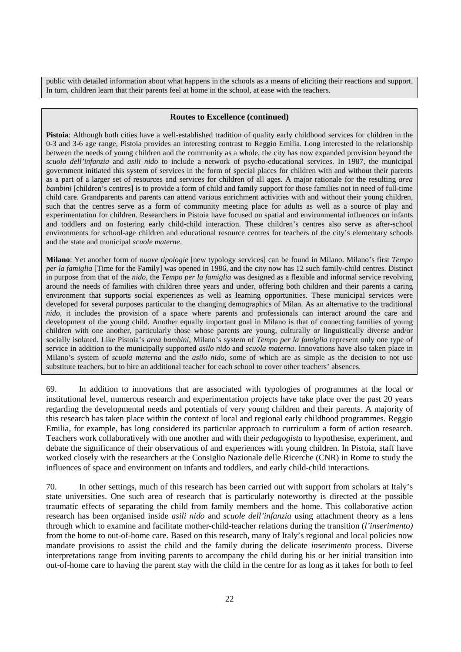public with detailed information about what happens in the schools as a means of eliciting their reactions and support. In turn, children learn that their parents feel at home in the school, at ease with the teachers.

#### **Routes to Excellence (continued)**

**Pistoia**: Although both cities have a well-established tradition of quality early childhood services for children in the 0-3 and 3-6 age range, Pistoia provides an interesting contrast to Reggio Emilia. Long interested in the relationship between the needs of young children and the community as a whole, the city has now expanded provision beyond the *scuola dell'infanzia* and *asili nido* to include a network of psycho-educational services. In 1987, the municipal government initiated this system of services in the form of special places for children with and without their parents as a part of a larger set of resources and services for children of all ages. A major rationale for the resulting *area bambini* [children's centres] is to provide a form of child and family support for those families not in need of full-time child care. Grandparents and parents can attend various enrichment activities with and without their young children, such that the centres serve as a form of community meeting place for adults as well as a source of play and experimentation for children. Researchers in Pistoia have focused on spatial and environmental influences on infants and toddlers and on fostering early child-child interaction. These children's centres also serve as after-school environments for school-age children and educational resource centres for teachers of the city's elementary schools and the state and municipal *scuole materne*.

**Milano**: Yet another form of *nuove tipologie* [new typology services] can be found in Milano. Milano's first *Tempo per la famiglia* [Time for the Family] was opened in 1986, and the city now has 12 such family-child centres*.* Distinct in purpose from that of the *nido*, the *Tempo per la famiglia* was designed as a flexible and informal service revolving around the needs of families with children three years and under, offering both children and their parents a caring environment that supports social experiences as well as learning opportunities. These municipal services were developed for several purposes particular to the changing demographics of Milan. As an alternative to the traditional *nido*, it includes the provision of a space where parents and professionals can interact around the care and development of the young child. Another equally important goal in Milano is that of connecting families of young children with one another, particularly those whose parents are young, culturally or linguistically diverse and/or socially isolated. Like Pistoia's *area bambini*, Milano's system of *Tempo per la famiglia* represent only one type of service in addition to the municipally supported *asilo nido* and *scuola materna*. Innovations have also taken place in Milano's system of *scuola materna* and the *asilo nido*, some of which are as simple as the decision to not use substitute teachers, but to hire an additional teacher for each school to cover other teachers' absences.

69. In addition to innovations that are associated with typologies of programmes at the local or institutional level, numerous research and experimentation projects have take place over the past 20 years regarding the developmental needs and potentials of very young children and their parents. A majority of this research has taken place within the context of local and regional early childhood programmes. Reggio Emilia, for example, has long considered its particular approach to curriculum a form of action research. Teachers work collaboratively with one another and with their *pedagogista* to hypothesise, experiment, and debate the significance of their observations of and experiences with young children. In Pistoia, staff have worked closely with the researchers at the Consiglio Nazionale delle Ricerche (CNR) in Rome to study the influences of space and environment on infants and toddlers, and early child-child interactions.

70. In other settings, much of this research has been carried out with support from scholars at Italy's state universities. One such area of research that is particularly noteworthy is directed at the possible traumatic effects of separating the child from family members and the home. This collaborative action research has been organised inside *asili nido* and *scuole dell'infanzia* using attachment theory as a lens through which to examine and facilitate mother-child-teacher relations during the transition (*l'inserimento)*  from the home to out-of-home care. Based on this research, many of Italy's regional and local policies now mandate provisions to assist the child and the family during the delicate *inserimento* process. Diverse interpretations range from inviting parents to accompany the child during his or her initial transition into out-of-home care to having the parent stay with the child in the centre for as long as it takes for both to feel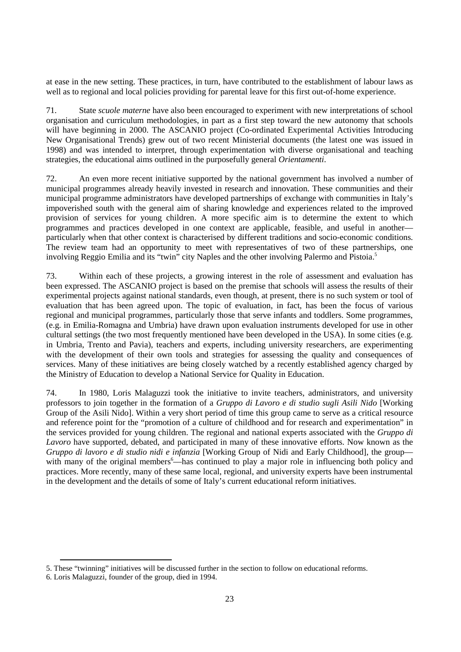at ease in the new setting. These practices, in turn, have contributed to the establishment of labour laws as well as to regional and local policies providing for parental leave for this first out-of-home experience.

71. State *scuole materne* have also been encouraged to experiment with new interpretations of school organisation and curriculum methodologies, in part as a first step toward the new autonomy that schools will have beginning in 2000. The ASCANIO project (Co-ordinated Experimental Activities Introducing New Organisational Trends) grew out of two recent Ministerial documents (the latest one was issued in 1998) and was intended to interpret, through experimentation with diverse organisational and teaching strategies, the educational aims outlined in the purposefully general *Orientamenti*.

72. An even more recent initiative supported by the national government has involved a number of municipal programmes already heavily invested in research and innovation. These communities and their municipal programme administrators have developed partnerships of exchange with communities in Italy's impoverished south with the general aim of sharing knowledge and experiences related to the improved provision of services for young children. A more specific aim is to determine the extent to which programmes and practices developed in one context are applicable, feasible, and useful in another particularly when that other context is characterised by different traditions and socio-economic conditions. The review team had an opportunity to meet with representatives of two of these partnerships, one involving Reggio Emilia and its "twin" city Naples and the other involving Palermo and Pistoia.5

73. Within each of these projects, a growing interest in the role of assessment and evaluation has been expressed. The ASCANIO project is based on the premise that schools will assess the results of their experimental projects against national standards, even though, at present, there is no such system or tool of evaluation that has been agreed upon. The topic of evaluation, in fact, has been the focus of various regional and municipal programmes, particularly those that serve infants and toddlers. Some programmes, (e.g. in Emilia-Romagna and Umbria) have drawn upon evaluation instruments developed for use in other cultural settings (the two most frequently mentioned have been developed in the USA). In some cities (e.g. in Umbria, Trento and Pavia), teachers and experts, including university researchers, are experimenting with the development of their own tools and strategies for assessing the quality and consequences of services. Many of these initiatives are being closely watched by a recently established agency charged by the Ministry of Education to develop a National Service for Quality in Education.

74. In 1980, Loris Malaguzzi took the initiative to invite teachers, administrators, and university professors to join together in the formation of a *Gruppo di Lavoro e di studio sugli Asili Nido* [Working Group of the Asili Nido]. Within a very short period of time this group came to serve as a critical resource and reference point for the "promotion of a culture of childhood and for research and experimentation" in the services provided for young children. The regional and national experts associated with the *Gruppo di Lavoro* have supported, debated, and participated in many of these innovative efforts. Now known as the *Gruppo di lavoro e di studio nidi e infanzia* [Working Group of Nidi and Early Childhood], the group with many of the original members<sup>6</sup>—has continued to play a major role in influencing both policy and practices. More recently, many of these same local, regional, and university experts have been instrumental in the development and the details of some of Italy's current educational reform initiatives.

<sup>5.</sup> These "twinning" initiatives will be discussed further in the section to follow on educational reforms.

<sup>6.</sup> Loris Malaguzzi, founder of the group, died in 1994.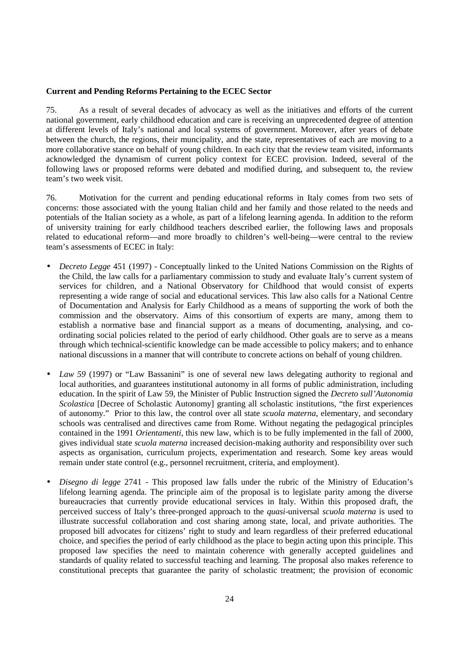## **Current and Pending Reforms Pertaining to the ECEC Sector**

75. As a result of several decades of advocacy as well as the initiatives and efforts of the current national government, early childhood education and care is receiving an unprecedented degree of attention at different levels of Italy's national and local systems of government. Moreover, after years of debate between the church, the regions, their muncipality, and the state, representatives of each are moving to a more collaborative stance on behalf of young children. In each city that the review team visited, informants acknowledged the dynamism of current policy context for ECEC provision. Indeed, several of the following laws or proposed reforms were debated and modified during, and subsequent to, the review team's two week visit.

76. Motivation for the current and pending educational reforms in Italy comes from two sets of concerns: those associated with the young Italian child and her family and those related to the needs and potentials of the Italian society as a whole, as part of a lifelong learning agenda. In addition to the reform of university training for early childhood teachers described earlier, the following laws and proposals related to educational reform—and more broadly to children's well-being—were central to the review team's assessments of ECEC in Italy:

- *Decreto Legge* 451 (1997) Conceptually linked to the United Nations Commission on the Rights of the Child, the law calls for a parliamentary commission to study and evaluate Italy's current system of services for children, and a National Observatory for Childhood that would consist of experts representing a wide range of social and educational services. This law also calls for a National Centre of Documentation and Analysis for Early Childhood as a means of supporting the work of both the commission and the observatory. Aims of this consortium of experts are many, among them to establish a normative base and financial support as a means of documenting, analysing, and coordinating social policies related to the period of early childhood. Other goals are to serve as a means through which technical-scientific knowledge can be made accessible to policy makers; and to enhance national discussions in a manner that will contribute to concrete actions on behalf of young children.
- *Law 59* (1997) or "Law Bassanini" is one of several new laws delegating authority to regional and local authorities, and guarantees institutional autonomy in all forms of public administration, including education. In the spirit of Law 59, the Minister of Public Instruction signed the *Decreto sull'Autonomia Scolastica* [Decree of Scholastic Autonomy] granting all scholastic institutions, "the first experiences of autonomy." Prior to this law, the control over all state *scuola materna*, elementary, and secondary schools was centralised and directives came from Rome. Without negating the pedagogical principles contained in the 1991 *Orientamenti*, this new law, which is to be fully implemented in the fall of 2000, gives individual state *scuola materna* increased decision-making authority and responsibility over such aspects as organisation, curriculum projects, experimentation and research. Some key areas would remain under state control (e.g., personnel recruitment, criteria, and employment).
- *Disegno di legge* 2741 This proposed law falls under the rubric of the Ministry of Education's lifelong learning agenda. The principle aim of the proposal is to legislate parity among the diverse bureaucracies that currently provide educational services in Italy. Within this proposed draft, the perceived success of Italy's three-pronged approach to the *quasi*-universal *scuola materna* is used to illustrate successful collaboration and cost sharing among state, local, and private authorities. The proposed bill advocates for citizens' right to study and learn regardless of their preferred educational choice, and specifies the period of early childhood as the place to begin acting upon this principle. This proposed law specifies the need to maintain coherence with generally accepted guidelines and standards of quality related to successful teaching and learning. The proposal also makes reference to constitutional precepts that guarantee the parity of scholastic treatment; the provision of economic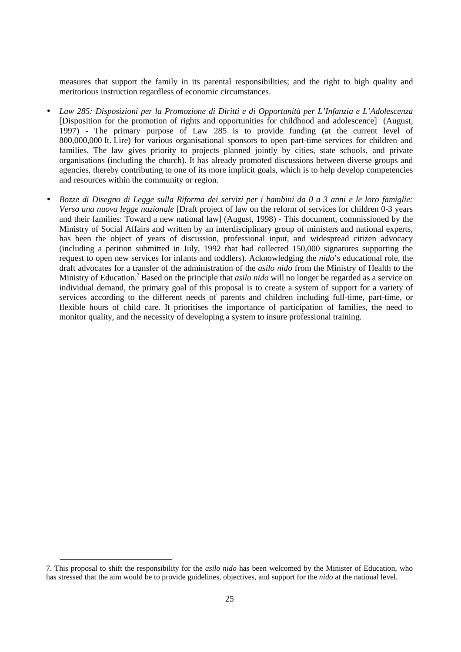measures that support the family in its parental responsibilities; and the right to high quality and meritorious instruction regardless of economic circumstances.

- *Law 285: Disposizioni per la Promozione di Diritti e di Opportunità per L'Infanzia e L'Adolescenza* [Disposition for the promotion of rights and opportunities for childhood and adolescence] (August, 1997) - The primary purpose of Law 285 is to provide funding (at the current level of 800,000,000 It. Lire) for various organisational sponsors to open part-time services for children and families. The law gives priority to projects planned jointly by cities, state schools, and private organisations (including the church). It has already promoted discussions between diverse groups and agencies, thereby contributing to one of its more implicit goals, which is to help develop competencies and resources within the community or region.
- *Bozze di Disegno di Legge sulla Riforma dei servizi per i bambini da 0 a 3 anni e le loro famiglie: Verso una nuova legge nazionale* [Draft project of law on the reform of services for children 0-3 years and their families: Toward a new national law] (August, 1998) - This document, commissioned by the Ministry of Social Affairs and written by an interdisciplinary group of ministers and national experts, has been the object of years of discussion, professional input, and widespread citizen advocacy (including a petition submitted in July, 1992 that had collected 150,000 signatures supporting the request to open new services for infants and toddlers). Acknowledging the *nido*'s educational role, the draft advocates for a transfer of the administration of the *asilo nido* from the Ministry of Health to the Ministry of Education.<sup>7</sup> Based on the principle that *asilo nido* will no longer be regarded as a service on individual demand, the primary goal of this proposal is to create a system of support for a variety of services according to the different needs of parents and children including full-time, part-time, or flexible hours of child care. It prioritises the importance of participation of families, the need to monitor quality, and the necessity of developing a system to insure professional training.

<sup>7.</sup> This proposal to shift the responsibility for the *asilo nido* has been welcomed by the Minister of Education, who has stressed that the aim would be to provide guidelines, objectives, and support for the *nido* at the national level.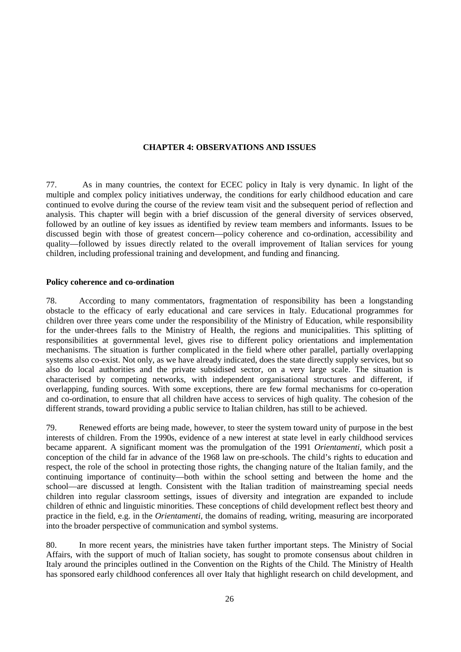## **CHAPTER 4: OBSERVATIONS AND ISSUES**

77. As in many countries, the context for ECEC policy in Italy is very dynamic. In light of the multiple and complex policy initiatives underway, the conditions for early childhood education and care continued to evolve during the course of the review team visit and the subsequent period of reflection and analysis. This chapter will begin with a brief discussion of the general diversity of services observed, followed by an outline of key issues as identified by review team members and informants. Issues to be discussed begin with those of greatest concern—policy coherence and co-ordination, accessibility and quality—followed by issues directly related to the overall improvement of Italian services for young children, including professional training and development, and funding and financing.

#### **Policy coherence and co-ordination**

78. According to many commentators, fragmentation of responsibility has been a longstanding obstacle to the efficacy of early educational and care services in Italy. Educational programmes for children over three years come under the responsibility of the Ministry of Education, while responsibility for the under-threes falls to the Ministry of Health, the regions and municipalities. This splitting of responsibilities at governmental level, gives rise to different policy orientations and implementation mechanisms. The situation is further complicated in the field where other parallel, partially overlapping systems also co-exist. Not only, as we have already indicated, does the state directly supply services, but so also do local authorities and the private subsidised sector, on a very large scale. The situation is characterised by competing networks, with independent organisational structures and different, if overlapping, funding sources. With some exceptions, there are few formal mechanisms for co-operation and co-ordination, to ensure that all children have access to services of high quality. The cohesion of the different strands, toward providing a public service to Italian children, has still to be achieved.

79. Renewed efforts are being made, however, to steer the system toward unity of purpose in the best interests of children. From the 1990s, evidence of a new interest at state level in early childhood services became apparent. A significant moment was the promulgation of the 1991 *Orientamenti*, which posit a conception of the child far in advance of the 1968 law on pre-schools. The child's rights to education and respect, the role of the school in protecting those rights, the changing nature of the Italian family, and the continuing importance of continuity—both within the school setting and between the home and the school—are discussed at length. Consistent with the Italian tradition of mainstreaming special needs children into regular classroom settings, issues of diversity and integration are expanded to include children of ethnic and linguistic minorities. These conceptions of child development reflect best theory and practice in the field, e.g. in the *Orientamenti*, the domains of reading, writing, measuring are incorporated into the broader perspective of communication and symbol systems.

80. In more recent years, the ministries have taken further important steps. The Ministry of Social Affairs, with the support of much of Italian society, has sought to promote consensus about children in Italy around the principles outlined in the Convention on the Rights of the Child. The Ministry of Health has sponsored early childhood conferences all over Italy that highlight research on child development, and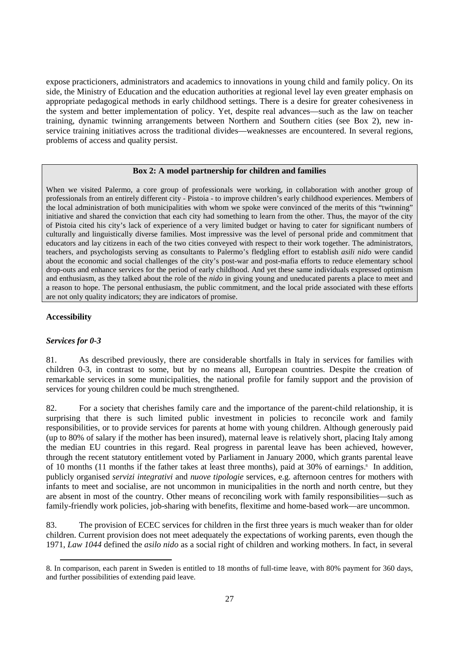expose practicioners, administrators and academics to innovations in young child and family policy. On its side, the Ministry of Education and the education authorities at regional level lay even greater emphasis on appropriate pedagogical methods in early childhood settings. There is a desire for greater cohesiveness in the system and better implementation of policy. Yet, despite real advances—such as the law on teacher training, dynamic twinning arrangements between Northern and Southern cities (see Box 2), new inservice training initiatives across the traditional divides—weaknesses are encountered. In several regions, problems of access and quality persist.

#### **Box 2: A model partnership for children and families**

When we visited Palermo, a core group of professionals were working, in collaboration with another group of professionals from an entirely different city - Pistoia - to improve children's early childhood experiences. Members of the local administration of both municipalities with whom we spoke were convinced of the merits of this "twinning" initiative and shared the conviction that each city had something to learn from the other. Thus, the mayor of the city of Pistoia cited his city's lack of experience of a very limited budget or having to cater for significant numbers of culturally and linguistically diverse families. Most impressive was the level of personal pride and commitment that educators and lay citizens in each of the two cities conveyed with respect to their work together. The administrators, teachers, and psychologists serving as consultants to Palermo's fledgling effort to establish *asili nido* were candid about the economic and social challenges of the city's post-war and post-mafia efforts to reduce elementary school drop-outs and enhance services for the period of early childhood. And yet these same individuals expressed optimism and enthusiasm, as they talked about the role of the *nido* in giving young and uneducated parents a place to meet and a reason to hope. The personal enthusiasm, the public commitment, and the local pride associated with these efforts are not only quality indicators; they are indicators of promise.

## **Accessibility**

#### *Services for 0-3*

81. As described previously, there are considerable shortfalls in Italy in services for families with children 0-3, in contrast to some, but by no means all, European countries. Despite the creation of remarkable services in some municipalities, the national profile for family support and the provision of services for young children could be much strengthened.

82. For a society that cherishes family care and the importance of the parent-child relationship, it is surprising that there is such limited public investment in policies to reconcile work and family responsibilities, or to provide services for parents at home with young children. Although generously paid (up to 80% of salary if the mother has been insured), maternal leave is relatively short, placing Italy among the median EU countries in this regard. Real progress in parental leave has been achieved, however, through the recent statutory entitlement voted by Parliament in January 2000, which grants parental leave of 10 months (11 months if the father takes at least three months), paid at 30% of earnings.<sup>8</sup> In addition, publicly organised *servizi integrativi* and *nuove tipologie* services, e.g. afternoon centres for mothers with infants to meet and socialise, are not uncommon in municipalities in the north and north centre, but they are absent in most of the country. Other means of reconciling work with family responsibilities—such as family-friendly work policies, job-sharing with benefits, flexitime and home-based work—are uncommon.

83. The provision of ECEC services for children in the first three years is much weaker than for older children. Current provision does not meet adequately the expectations of working parents, even though the 1971, *Law 1044* defined the *asilo nido* as a social right of children and working mothers. In fact, in several

<sup>8.</sup> In comparison, each parent in Sweden is entitled to 18 months of full-time leave, with 80% payment for 360 days, and further possibilities of extending paid leave.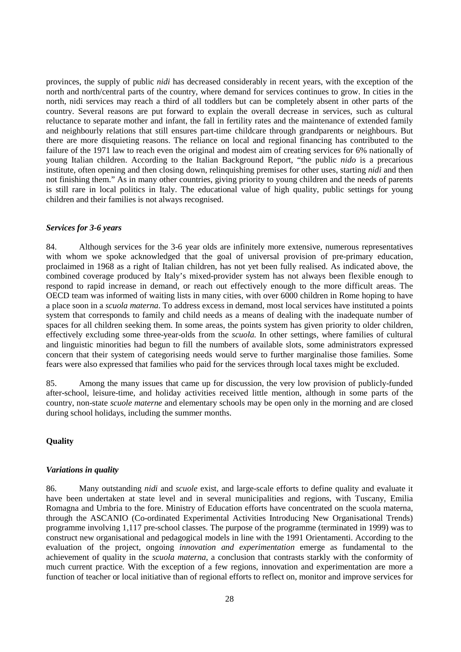provinces, the supply of public *nidi* has decreased considerably in recent years, with the exception of the north and north/central parts of the country, where demand for services continues to grow. In cities in the north, nidi services may reach a third of all toddlers but can be completely absent in other parts of the country. Several reasons are put forward to explain the overall decrease in services, such as cultural reluctance to separate mother and infant, the fall in fertility rates and the maintenance of extended family and neighbourly relations that still ensures part-time childcare through grandparents or neighbours. But there are more disquieting reasons. The reliance on local and regional financing has contributed to the failure of the 1971 law to reach even the original and modest aim of creating services for 6% nationally of young Italian children. According to the Italian Background Report, "the public *nido* is a precarious institute, often opening and then closing down, relinquishing premises for other uses, starting *nidi* and then not finishing them." As in many other countries, giving priority to young children and the needs of parents is still rare in local politics in Italy. The educational value of high quality, public settings for young children and their families is not always recognised.

#### *Services for 3-6 years*

84. Although services for the 3-6 year olds are infinitely more extensive, numerous representatives with whom we spoke acknowledged that the goal of universal provision of pre-primary education, proclaimed in 1968 as a right of Italian children, has not yet been fully realised. As indicated above, the combined coverage produced by Italy's mixed-provider system has not always been flexible enough to respond to rapid increase in demand, or reach out effectively enough to the more difficult areas. The OECD team was informed of waiting lists in many cities, with over 6000 children in Rome hoping to have a place soon in a *scuola materna*. To address excess in demand, most local services have instituted a points system that corresponds to family and child needs as a means of dealing with the inadequate number of spaces for all children seeking them. In some areas, the points system has given priority to older children, effectively excluding some three-year-olds from the *scuola.* In other settings, where families of cultural and linguistic minorities had begun to fill the numbers of available slots, some administrators expressed concern that their system of categorising needs would serve to further marginalise those families. Some fears were also expressed that families who paid for the services through local taxes might be excluded.

85. Among the many issues that came up for discussion, the very low provision of publicly-funded after-school, leisure-time, and holiday activities received little mention, although in some parts of the country, non-state *scuole materne* and elementary schools may be open only in the morning and are closed during school holidays, including the summer months.

## **Quality**

## *Variations in quality*

86. Many outstanding *nidi* and *scuole* exist, and large-scale efforts to define quality and evaluate it have been undertaken at state level and in several municipalities and regions, with Tuscany, Emilia Romagna and Umbria to the fore. Ministry of Education efforts have concentrated on the scuola materna, through the ASCANIO (Co-ordinated Experimental Activities Introducing New Organisational Trends) programme involving 1,117 pre-school classes. The purpose of the programme (terminated in 1999) was to construct new organisational and pedagogical models in line with the 1991 Orientamenti. According to the evaluation of the project, ongoing *innovation and experimentation* emerge as fundamental to the achievement of quality in the *scuola materna*, a conclusion that contrasts starkly with the conformity of much current practice*.* With the exception of a few regions, innovation and experimentation are more a function of teacher or local initiative than of regional efforts to reflect on, monitor and improve services for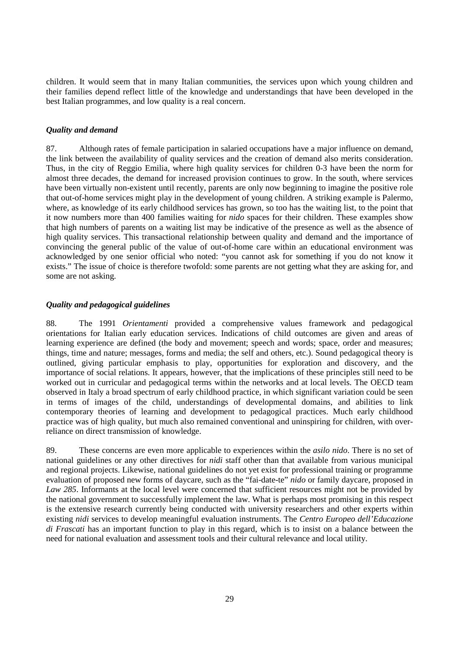children. It would seem that in many Italian communities, the services upon which young children and their families depend reflect little of the knowledge and understandings that have been developed in the best Italian programmes, and low quality is a real concern.

## *Quality and demand*

87. Although rates of female participation in salaried occupations have a major influence on demand, the link between the availability of quality services and the creation of demand also merits consideration. Thus, in the city of Reggio Emilia, where high quality services for children 0-3 have been the norm for almost three decades, the demand for increased provision continues to grow. In the south, where services have been virtually non-existent until recently, parents are only now beginning to imagine the positive role that out-of-home services might play in the development of young children. A striking example is Palermo, where, as knowledge of its early childhood services has grown, so too has the waiting list, to the point that it now numbers more than 400 families waiting for *nido* spaces for their children. These examples show that high numbers of parents on a waiting list may be indicative of the presence as well as the absence of high quality services. This transactional relationship between quality and demand and the importance of convincing the general public of the value of out-of-home care within an educational environment was acknowledged by one senior official who noted: "you cannot ask for something if you do not know it exists." The issue of choice is therefore twofold: some parents are not getting what they are asking for, and some are not asking.

## *Quality and pedagogical guidelines*

88. The 1991 *Orientamenti* provided a comprehensive values framework and pedagogical orientations for Italian early education services. Indications of child outcomes are given and areas of learning experience are defined (the body and movement; speech and words; space, order and measures; things, time and nature; messages, forms and media; the self and others, etc.). Sound pedagogical theory is outlined, giving particular emphasis to play, opportunities for exploration and discovery, and the importance of social relations. It appears, however, that the implications of these principles still need to be worked out in curricular and pedagogical terms within the networks and at local levels. The OECD team observed in Italy a broad spectrum of early childhood practice, in which significant variation could be seen in terms of images of the child, understandings of developmental domains, and abilities to link contemporary theories of learning and development to pedagogical practices. Much early childhood practice was of high quality, but much also remained conventional and uninspiring for children, with overreliance on direct transmission of knowledge.

89. These concerns are even more applicable to experiences within the *asilo nido*. There is no set of national guidelines or any other directives for *nidi* staff other than that available from various municipal and regional projects. Likewise, national guidelines do not yet exist for professional training or programme evaluation of proposed new forms of daycare, such as the "fai-date-te" *nido* or family daycare, proposed in Law 285. Informants at the local level were concerned that sufficient resources might not be provided by the national government to successfully implement the law. What is perhaps most promising in this respect is the extensive research currently being conducted with university researchers and other experts within existing *nidi* services to develop meaningful evaluation instruments. The *Centro Europeo dell'Educazione di Frascati* has an important function to play in this regard, which is to insist on a balance between the need for national evaluation and assessment tools and their cultural relevance and local utility.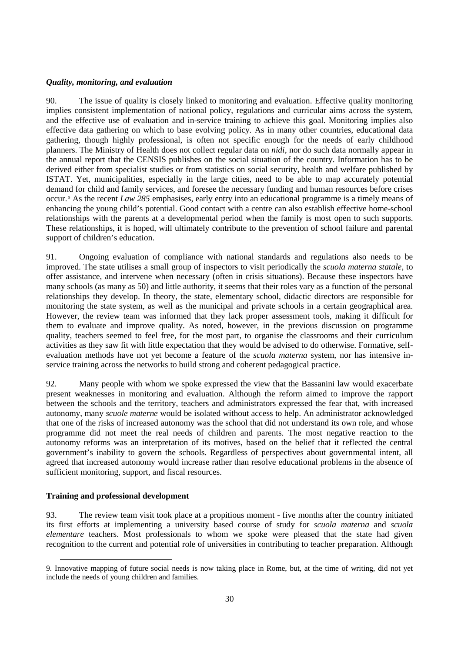## *Quality, monitoring, and evaluation*

90. The issue of quality is closely linked to monitoring and evaluation. Effective quality monitoring implies consistent implementation of national policy, regulations and curricular aims across the system, and the effective use of evaluation and in-service training to achieve this goal. Monitoring implies also effective data gathering on which to base evolving policy. As in many other countries, educational data gathering, though highly professional, is often not specific enough for the needs of early childhood planners. The Ministry of Health does not collect regular data on *nidi*, nor do such data normally appear in the annual report that the CENSIS publishes on the social situation of the country. Information has to be derived either from specialist studies or from statistics on social security, health and welfare published by ISTAT. Yet, municipalities, especially in the large cities, need to be able to map accurately potential demand for child and family services, and foresee the necessary funding and human resources before crises occur. 9 As the recent *Law 285* emphasises, early entry into an educational programme is a timely means of enhancing the young child's potential. Good contact with a centre can also establish effective home-school relationships with the parents at a developmental period when the family is most open to such supports. These relationships, it is hoped, will ultimately contribute to the prevention of school failure and parental support of children's education.

91. Ongoing evaluation of compliance with national standards and regulations also needs to be improved. The state utilises a small group of inspectors to visit periodically the *scuola materna statale*, to offer assistance, and intervene when necessary (often in crisis situations). Because these inspectors have many schools (as many as 50) and little authority, it seems that their roles vary as a function of the personal relationships they develop. In theory, the state, elementary school, didactic directors are responsible for monitoring the state system, as well as the municipal and private schools in a certain geographical area. However, the review team was informed that they lack proper assessment tools, making it difficult for them to evaluate and improve quality. As noted, however, in the previous discussion on programme quality, teachers seemed to feel free, for the most part, to organise the classrooms and their curriculum activities as they saw fit with little expectation that they would be advised to do otherwise. Formative, selfevaluation methods have not yet become a feature of the *scuola materna* system, nor has intensive inservice training across the networks to build strong and coherent pedagogical practice.

92. Many people with whom we spoke expressed the view that the Bassanini law would exacerbate present weaknesses in monitoring and evaluation. Although the reform aimed to improve the rapport between the schools and the territory, teachers and administrators expressed the fear that, with increased autonomy, many *scuole materne* would be isolated without access to help. An administrator acknowledged that one of the risks of increased autonomy was the school that did not understand its own role, and whose programme did not meet the real needs of children and parents. The most negative reaction to the autonomy reforms was an interpretation of its motives, based on the belief that it reflected the central government's inability to govern the schools. Regardless of perspectives about governmental intent, all agreed that increased autonomy would increase rather than resolve educational problems in the absence of sufficient monitoring, support, and fiscal resources.

## **Training and professional development**

93. The review team visit took place at a propitious moment - five months after the country initiated its first efforts at implementing a university based course of study for *scuola materna* and *scuola elementare* teachers. Most professionals to whom we spoke were pleased that the state had given recognition to the current and potential role of universities in contributing to teacher preparation. Although

<sup>9.</sup> Innovative mapping of future social needs is now taking place in Rome, but, at the time of writing, did not yet include the needs of young children and families.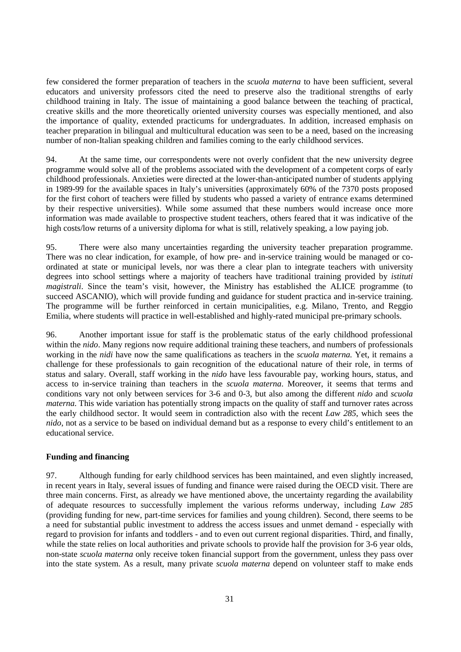few considered the former preparation of teachers in the *scuola materna* to have been sufficient, several educators and university professors cited the need to preserve also the traditional strengths of early childhood training in Italy. The issue of maintaining a good balance between the teaching of practical, creative skills and the more theoretically oriented university courses was especially mentioned, and also the importance of quality, extended practicums for undergraduates. In addition, increased emphasis on teacher preparation in bilingual and multicultural education was seen to be a need, based on the increasing number of non-Italian speaking children and families coming to the early childhood services.

94. At the same time, our correspondents were not overly confident that the new university degree programme would solve all of the problems associated with the development of a competent corps of early childhood professionals. Anxieties were directed at the lower-than-anticipated number of students applying in 1989-99 for the available spaces in Italy's universities (approximately 60% of the 7370 posts proposed for the first cohort of teachers were filled by students who passed a variety of entrance exams determined by their respective universities). While some assumed that these numbers would increase once more information was made available to prospective student teachers, others feared that it was indicative of the high costs/low returns of a university diploma for what is still, relatively speaking, a low paying job.

95. There were also many uncertainties regarding the university teacher preparation programme. There was no clear indication, for example, of how pre- and in-service training would be managed or coordinated at state or municipal levels, nor was there a clear plan to integrate teachers with university degrees into school settings where a majority of teachers have traditional training provided by *istituti magistrali*. Since the team's visit, however, the Ministry has established the ALICE programme (to succeed ASCANIO), which will provide funding and guidance for student practica and in-service training. The programme will be further reinforced in certain municipalities, e.g. Milano, Trento, and Reggio Emilia, where students will practice in well-established and highly-rated municipal pre-primary schools.

96. Another important issue for staff is the problematic status of the early childhood professional within the *nido*. Many regions now require additional training these teachers, and numbers of professionals working in the *nidi* have now the same qualifications as teachers in the *scuola materna.* Yet, it remains a challenge for these professionals to gain recognition of the educational nature of their role, in terms of status and salary. Overall, staff working in the *nido* have less favourable pay, working hours, status, and access to in-service training than teachers in the *scuola materna*. Moreover, it seems that terms and conditions vary not only between services for 3-6 and 0-3, but also among the different *nido* and *scuola materna*. This wide variation has potentially strong impacts on the quality of staff and turnover rates across the early childhood sector. It would seem in contradiction also with the recent *Law 285*, which sees the *nido*, not as a service to be based on individual demand but as a response to every child's entitlement to an educational service.

## **Funding and financing**

97. Although funding for early childhood services has been maintained, and even slightly increased, in recent years in Italy, several issues of funding and finance were raised during the OECD visit. There are three main concerns. First, as already we have mentioned above, the uncertainty regarding the availability of adequate resources to successfully implement the various reforms underway, including *Law 285*  (providing funding for new, part-time services for families and young children)*.* Second, there seems to be a need for substantial public investment to address the access issues and unmet demand - especially with regard to provision for infants and toddlers - and to even out current regional disparities. Third, and finally, while the state relies on local authorities and private schools to provide half the provision for 3-6 year olds, non-state *scuola materna* only receive token financial support from the government, unless they pass over into the state system. As a result, many private *scuola materna* depend on volunteer staff to make ends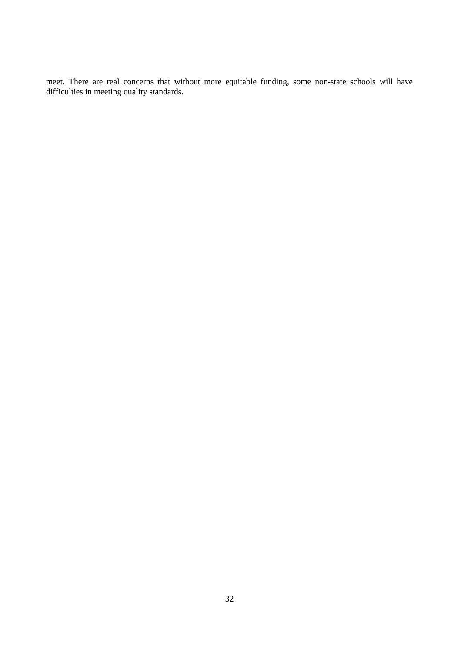meet. There are real concerns that without more equitable funding, some non-state schools will have difficulties in meeting quality standards.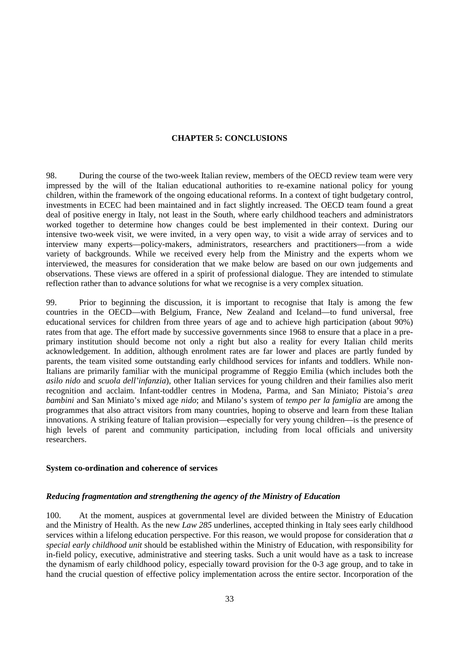## **CHAPTER 5: CONCLUSIONS**

98. During the course of the two-week Italian review, members of the OECD review team were very impressed by the will of the Italian educational authorities to re-examine national policy for young children, within the framework of the ongoing educational reforms. In a context of tight budgetary control, investments in ECEC had been maintained and in fact slightly increased. The OECD team found a great deal of positive energy in Italy, not least in the South, where early childhood teachers and administrators worked together to determine how changes could be best implemented in their context. During our intensive two-week visit, we were invited, in a very open way, to visit a wide array of services and to interview many experts—policy-makers, administrators, researchers and practitioners—from a wide variety of backgrounds. While we received every help from the Ministry and the experts whom we interviewed, the measures for consideration that we make below are based on our own judgements and observations. These views are offered in a spirit of professional dialogue. They are intended to stimulate reflection rather than to advance solutions for what we recognise is a very complex situation.

99. Prior to beginning the discussion, it is important to recognise that Italy is among the few countries in the OECD—with Belgium, France, New Zealand and Iceland—to fund universal, free educational services for children from three years of age and to achieve high participation (about 90%) rates from that age. The effort made by successive governments since 1968 to ensure that a place in a preprimary institution should become not only a right but also a reality for every Italian child merits acknowledgement. In addition, although enrolment rates are far lower and places are partly funded by parents, the team visited some outstanding early childhood services for infants and toddlers. While non-Italians are primarily familiar with the municipal programme of Reggio Emilia (which includes both the *asilo nido* and *scuola dell'infanzia*), other Italian services for young children and their families also merit recognition and acclaim. Infant-toddler centres in Modena, Parma, and San Miniato; Pistoia's *area bambini* and San Miniato's mixed age *nido*; and Milano's system of *tempo per la famiglia* are among the programmes that also attract visitors from many countries, hoping to observe and learn from these Italian innovations. A striking feature of Italian provision—especially for very young children—is the presence of high levels of parent and community participation, including from local officials and university researchers.

#### **System co-ordination and coherence of services**

# *Reducing fragmentation and strengthening the agency of the Ministry of Education*

100. At the moment, auspices at governmental level are divided between the Ministry of Education and the Ministry of Health. As the new *Law 285* underlines, accepted thinking in Italy sees early childhood services within a lifelong education perspective. For this reason, we would propose for consideration that *a special early childhood unit* should be established within the Ministry of Education, with responsibility for in-field policy, executive, administrative and steering tasks. Such a unit would have as a task to increase the dynamism of early childhood policy, especially toward provision for the 0-3 age group, and to take in hand the crucial question of effective policy implementation across the entire sector. Incorporation of the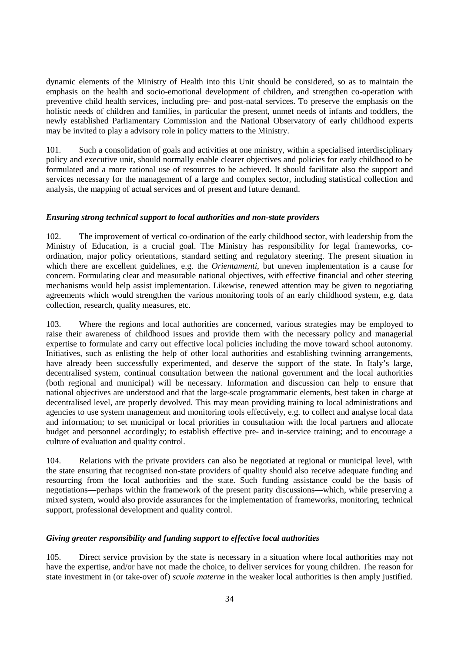dynamic elements of the Ministry of Health into this Unit should be considered, so as to maintain the emphasis on the health and socio-emotional development of children, and strengthen co-operation with preventive child health services, including pre- and post-natal services. To preserve the emphasis on the holistic needs of children and families, in particular the present, unmet needs of infants and toddlers, the newly established Parliamentary Commission and the National Observatory of early childhood experts may be invited to play a advisory role in policy matters to the Ministry.

101. Such a consolidation of goals and activities at one ministry, within a specialised interdisciplinary policy and executive unit, should normally enable clearer objectives and policies for early childhood to be formulated and a more rational use of resources to be achieved. It should facilitate also the support and services necessary for the management of a large and complex sector, including statistical collection and analysis, the mapping of actual services and of present and future demand.

#### *Ensuring strong technical support to local authorities and non-state providers*

102. The improvement of vertical co-ordination of the early childhood sector, with leadership from the Ministry of Education, is a crucial goal. The Ministry has responsibility for legal frameworks, coordination, major policy orientations, standard setting and regulatory steering. The present situation in which there are excellent guidelines, e.g. the *Orientamenti*, but uneven implementation is a cause for concern. Formulating clear and measurable national objectives, with effective financial and other steering mechanisms would help assist implementation. Likewise, renewed attention may be given to negotiating agreements which would strengthen the various monitoring tools of an early childhood system, e.g. data collection, research, quality measures, etc.

103. Where the regions and local authorities are concerned, various strategies may be employed to raise their awareness of childhood issues and provide them with the necessary policy and managerial expertise to formulate and carry out effective local policies including the move toward school autonomy. Initiatives, such as enlisting the help of other local authorities and establishing twinning arrangements, have already been successfully experimented, and deserve the support of the state. In Italy's large, decentralised system, continual consultation between the national government and the local authorities (both regional and municipal) will be necessary. Information and discussion can help to ensure that national objectives are understood and that the large-scale programmatic elements, best taken in charge at decentralised level, are properly devolved. This may mean providing training to local administrations and agencies to use system management and monitoring tools effectively, e.g. to collect and analyse local data and information; to set municipal or local priorities in consultation with the local partners and allocate budget and personnel accordingly; to establish effective pre- and in-service training; and to encourage a culture of evaluation and quality control.

104. Relations with the private providers can also be negotiated at regional or municipal level, with the state ensuring that recognised non-state providers of quality should also receive adequate funding and resourcing from the local authorities and the state. Such funding assistance could be the basis of negotiations—perhaps within the framework of the present parity discussions—which, while preserving a mixed system, would also provide assurances for the implementation of frameworks, monitoring, technical support, professional development and quality control.

## *Giving greater responsibility and funding support to effective local authorities*

105. Direct service provision by the state is necessary in a situation where local authorities may not have the expertise, and/or have not made the choice, to deliver services for young children. The reason for state investment in (or take-over of) *scuole materne* in the weaker local authorities is then amply justified.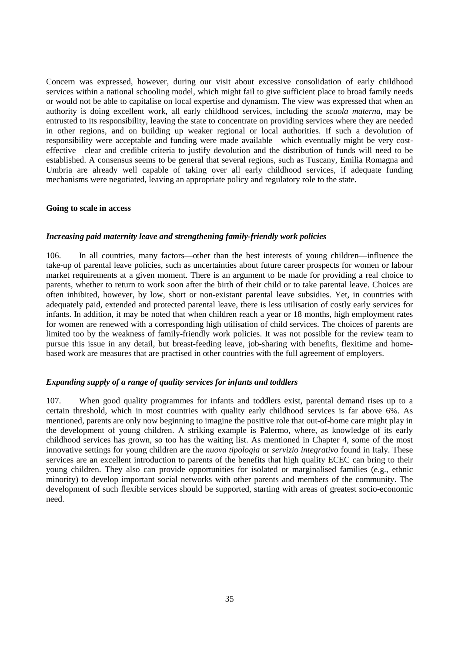Concern was expressed, however, during our visit about excessive consolidation of early childhood services within a national schooling model, which might fail to give sufficient place to broad family needs or would not be able to capitalise on local expertise and dynamism. The view was expressed that when an authority is doing excellent work, all early childhood services, including the *scuola materna*, may be entrusted to its responsibility, leaving the state to concentrate on providing services where they are needed in other regions, and on building up weaker regional or local authorities. If such a devolution of responsibility were acceptable and funding were made available—which eventually might be very costeffective—clear and credible criteria to justify devolution and the distribution of funds will need to be established. A consensus seems to be general that several regions, such as Tuscany, Emilia Romagna and Umbria are already well capable of taking over all early childhood services, if adequate funding mechanisms were negotiated, leaving an appropriate policy and regulatory role to the state.

#### **Going to scale in access**

## *Increasing paid maternity leave and strengthening family-friendly work policies*

106. In all countries, many factors—other than the best interests of young children—influence the take-up of parental leave policies, such as uncertainties about future career prospects for women or labour market requirements at a given moment. There is an argument to be made for providing a real choice to parents, whether to return to work soon after the birth of their child or to take parental leave. Choices are often inhibited, however, by low, short or non-existant parental leave subsidies. Yet, in countries with adequately paid, extended and protected parental leave, there is less utilisation of costly early services for infants. In addition, it may be noted that when children reach a year or 18 months, high employment rates for women are renewed with a corresponding high utilisation of child services. The choices of parents are limited too by the weakness of family-friendly work policies. It was not possible for the review team to pursue this issue in any detail, but breast-feeding leave, job-sharing with benefits, flexitime and homebased work are measures that are practised in other countries with the full agreement of employers.

#### *Expanding supply of a range of quality services for infants and toddlers*

107. When good quality programmes for infants and toddlers exist, parental demand rises up to a certain threshold, which in most countries with quality early childhood services is far above 6%. As mentioned, parents are only now beginning to imagine the positive role that out-of-home care might play in the development of young children. A striking example is Palermo, where, as knowledge of its early childhood services has grown, so too has the waiting list. As mentioned in Chapter 4, some of the most innovative settings for young children are the *nuova tipologia* or *servizio integrativo* found in Italy. These services are an excellent introduction to parents of the benefits that high quality ECEC can bring to their young children. They also can provide opportunities for isolated or marginalised families (e.g., ethnic minority) to develop important social networks with other parents and members of the community. The development of such flexible services should be supported, starting with areas of greatest socio-economic need.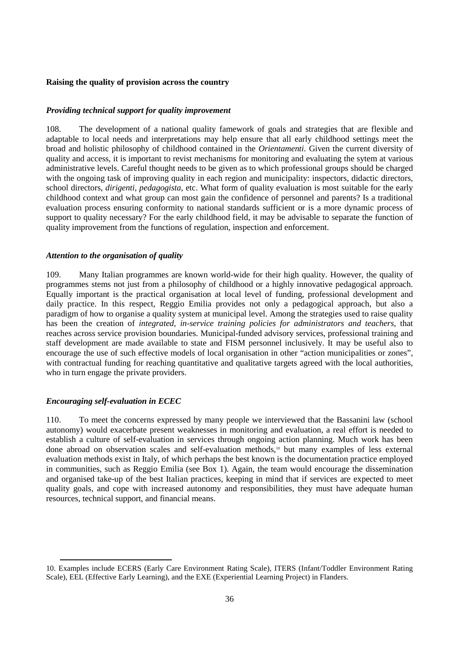#### **Raising the quality of provision across the country**

## *Providing technical support for quality improvement*

108. The development of a national quality famework of goals and strategies that are flexible and adaptable to local needs and interpretations may help ensure that all early childhood settings meet the broad and holistic philosophy of childhood contained in the *Orientamenti.* Given the current diversity of quality and access, it is important to revist mechanisms for monitoring and evaluating the sytem at various administrative levels. Careful thought needs to be given as to which professional groups should be charged with the ongoing task of improving quality in each region and municipality: inspectors, didactic directors, school directors, *dirigenti*, *pedagogista,* etc. What form of quality evaluation is most suitable for the early childhood context and what group can most gain the confidence of personnel and parents? Is a traditional evaluation process ensuring conformity to national standards sufficient or is a more dynamic process of support to quality necessary? For the early childhood field, it may be advisable to separate the function of quality improvement from the functions of regulation, inspection and enforcement.

## *Attention to the organisation of quality*

109. Many Italian programmes are known world-wide for their high quality. However, the quality of programmes stems not just from a philosophy of childhood or a highly innovative pedagogical approach. Equally important is the practical organisation at local level of funding, professional development and daily practice. In this respect, Reggio Emilia provides not only a pedagogical approach, but also a paradigm of how to organise a quality system at municipal level. Among the strategies used to raise quality has been the creation of *integrated, in-service training policies for administrators and teachers*, that reaches across service provision boundaries. Municipal-funded advisory services, professional training and staff development are made available to state and FISM personnel inclusively. It may be useful also to encourage the use of such effective models of local organisation in other "action municipalities or zones", with contractual funding for reaching quantitative and qualitative targets agreed with the local authorities, who in turn engage the private providers.

#### *Encouraging self-evaluation in ECEC*

110. To meet the concerns expressed by many people we interviewed that the Bassanini law (school autonomy) would exacerbate present weaknesses in monitoring and evaluation, a real effort is needed to establish a culture of self-evaluation in services through ongoing action planning. Much work has been done abroad on observation scales and self-evaluation methods,<sup>10</sup> but many examples of less external evaluation methods exist in Italy, of which perhaps the best known is the documentation practice employed in communities, such as Reggio Emilia (see Box 1). Again, the team would encourage the dissemination and organised take-up of the best Italian practices, keeping in mind that if services are expected to meet quality goals, and cope with increased autonomy and responsibilities, they must have adequate human resources, technical support, and financial means.

<sup>10.</sup> Examples include ECERS (Early Care Environment Rating Scale), ITERS (Infant/Toddler Environment Rating Scale), EEL (Effective Early Learning), and the EXE (Experiential Learning Project) in Flanders.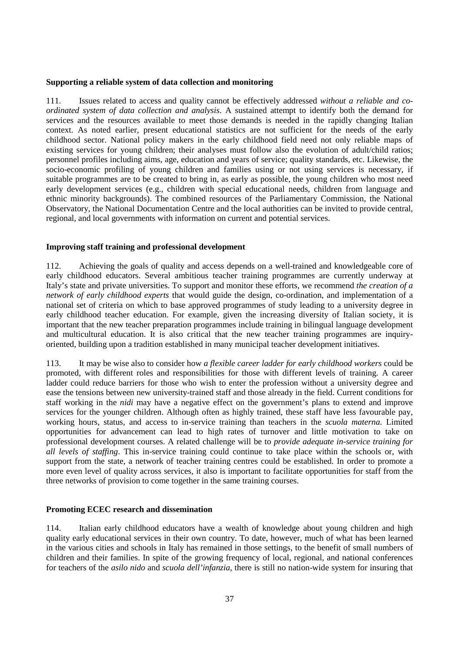#### **Supporting a reliable system of data collection and monitoring**

111. Issues related to access and quality cannot be effectively addressed *without a reliable and coordinated system of data collection and analysis*. A sustained attempt to identify both the demand for services and the resources available to meet those demands is needed in the rapidly changing Italian context. As noted earlier, present educational statistics are not sufficient for the needs of the early childhood sector. National policy makers in the early childhood field need not only reliable maps of existing services for young children; their analyses must follow also the evolution of adult/child ratios; personnel profiles including aims, age, education and years of service; quality standards, etc. Likewise, the socio-economic profiling of young children and families using or not using services is necessary, if suitable programmes are to be created to bring in, as early as possible, the young children who most need early development services (e.g., children with special educational needs, children from language and ethnic minority backgrounds). The combined resources of the Parliamentary Commission, the National Observatory, the National Documentation Centre and the local authorities can be invited to provide central, regional, and local governments with information on current and potential services.

#### **Improving staff training and professional development**

112. Achieving the goals of quality and access depends on a well-trained and knowledgeable core of early childhood educators. Several ambitious teacher training programmes are currently underway at Italy's state and private universities. To support and monitor these efforts, we recommend *the creation of a network of early childhood experts* that would guide the design, co-ordination, and implementation of a national set of criteria on which to base approved programmes of study leading to a university degree in early childhood teacher education. For example, given the increasing diversity of Italian society, it is important that the new teacher preparation programmes include training in bilingual language development and multicultural education. It is also critical that the new teacher training programmes are inquiryoriented, building upon a tradition established in many municipal teacher development initiatives.

113. It may be wise also to consider how *a flexible career ladder for early childhood workers* could be promoted, with different roles and responsibilities for those with different levels of training. A career ladder could reduce barriers for those who wish to enter the profession without a university degree and ease the tensions between new university-trained staff and those already in the field. Current conditions for staff working in the *nidi* may have a negative effect on the government's plans to extend and improve services for the younger children. Although often as highly trained, these staff have less favourable pay, working hours, status, and access to in-service training than teachers in the *scuola materna*. Limited opportunities for advancement can lead to high rates of turnover and little motivation to take on professional development courses. A related challenge will be to *provide adequate in-service training for all levels of staffing*. This in-service training could continue to take place within the schools or, with support from the state, a network of teacher training centres could be established. In order to promote a more even level of quality across services, it also is important to facilitate opportunities for staff from the three networks of provision to come together in the same training courses.

#### **Promoting ECEC research and dissemination**

114. Italian early childhood educators have a wealth of knowledge about young children and high quality early educational services in their own country. To date, however, much of what has been learned in the various cities and schools in Italy has remained in those settings, to the benefit of small numbers of children and their families. In spite of the growing frequency of local, regional, and national conferences for teachers of the *asilo nido* and *scuola dell'infanzia*, there is still no nation-wide system for insuring that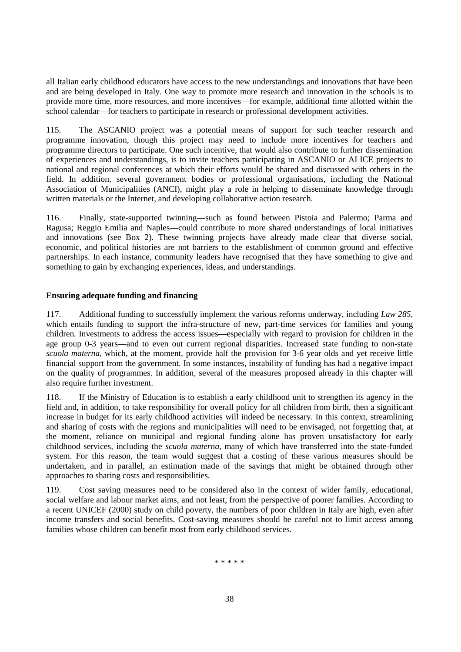all Italian early childhood educators have access to the new understandings and innovations that have been and are being developed in Italy. One way to promote more research and innovation in the schools is to provide more time, more resources, and more incentives—for example, additional time allotted within the school calendar—for teachers to participate in research or professional development activities.

115. The ASCANIO project was a potential means of support for such teacher research and programme innovation, though this project may need to include more incentives for teachers and programme directors to participate. One such incentive, that would also contribute to further dissemination of experiences and understandings, is to invite teachers participating in ASCANIO or ALICE projects to national and regional conferences at which their efforts would be shared and discussed with others in the field. In addition, several government bodies or professional organisations, including the National Association of Municipalities (ANCI), might play a role in helping to disseminate knowledge through written materials or the Internet, and developing collaborative action research.

116. Finally, state-supported twinning—such as found between Pistoia and Palermo; Parma and Ragusa; Reggio Emilia and Naples—could contribute to more shared understandings of local initiatives and innovations (see Box 2). These twinning projects have already made clear that diverse social, economic, and political histories are not barriers to the establishment of common ground and effective partnerships. In each instance, community leaders have recognised that they have something to give and something to gain by exchanging experiences, ideas, and understandings.

## **Ensuring adequate funding and financing**

117. Additional funding to successfully implement the various reforms underway, including *Law 285,*  which entails funding to support the infra-structure of new, part-time services for families and young children*.* Investments to address the access issues—especially with regard to provision for children in the age group 0-3 years—and to even out current regional disparities. Increased state funding to non-state *scuola materna*, which, at the moment, provide half the provision for 3-6 year olds and yet receive little financial support from the government. In some instances, instability of funding has had a negative impact on the quality of programmes. In addition, several of the measures proposed already in this chapter will also require further investment.

118. If the Ministry of Education is to establish a early childhood unit to strengthen its agency in the field and, in addition, to take responsibility for overall policy for all children from birth, then a significant increase in budget for its early childhood activities will indeed be necessary. In this context, streamlining and sharing of costs with the regions and municipalities will need to be envisaged, not forgetting that, at the moment, reliance on municipal and regional funding alone has proven unsatisfactory for early childhood services, including the *scuola materna*, many of which have transferred into the state-funded system. For this reason, the team would suggest that a costing of these various measures should be undertaken, and in parallel, an estimation made of the savings that might be obtained through other approaches to sharing costs and responsibilities.

119. Cost saving measures need to be considered also in the context of wider family, educational, social welfare and labour market aims, and not least, from the perspective of poorer families. According to a recent UNICEF (2000) study on child poverty, the numbers of poor children in Italy are high, even after income transfers and social benefits. Cost-saving measures should be careful not to limit access among families whose children can benefit most from early childhood services.

\* \* \* \* \*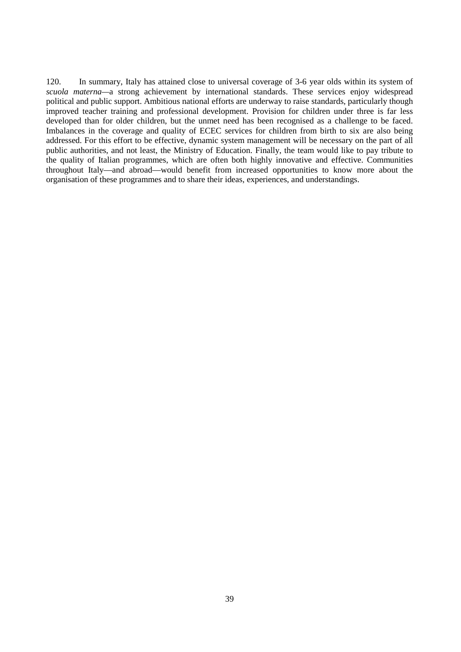120. In summary, Italy has attained close to universal coverage of 3-6 year olds within its system of *scuola materna—*a strong achievement by international standards. These services enjoy widespread political and public support. Ambitious national efforts are underway to raise standards, particularly though improved teacher training and professional development. Provision for children under three is far less developed than for older children, but the unmet need has been recognised as a challenge to be faced. Imbalances in the coverage and quality of ECEC services for children from birth to six are also being addressed. For this effort to be effective, dynamic system management will be necessary on the part of all public authorities, and not least, the Ministry of Education. Finally, the team would like to pay tribute to the quality of Italian programmes, which are often both highly innovative and effective. Communities throughout Italy—and abroad—would benefit from increased opportunities to know more about the organisation of these programmes and to share their ideas, experiences, and understandings.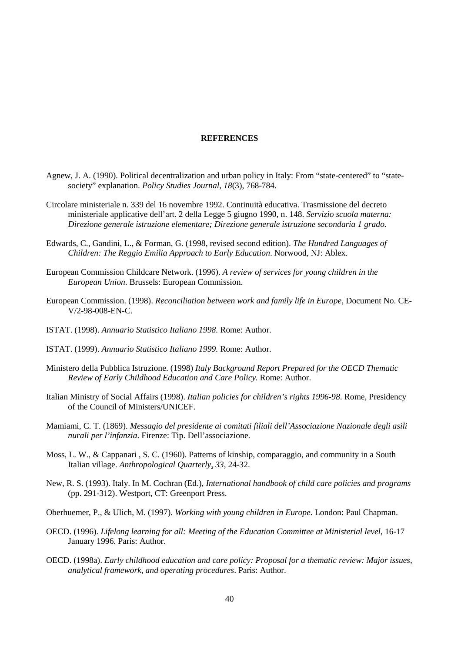#### **REFERENCES**

- Agnew, J. A. (1990). Political decentralization and urban policy in Italy: From "state-centered" to "statesociety" explanation. *Policy Studies Journal*, *18*(3), 768-784.
- Circolare ministeriale n. 339 del 16 novembre 1992. Continuità educativa. Trasmissione del decreto ministeriale applicative dell'art. 2 della Legge 5 giugno 1990, n. 148. *Servizio scuola materna: Direzione generale istruzione elementare; Direzione generale istruzione secondaria 1 grado.*
- Edwards, C., Gandini, L., & Forman, G. (1998, revised second edition). *The Hundred Languages of Children: The Reggio Emilia Approach to Early Education*. Norwood, NJ: Ablex.
- European Commission Childcare Network. (1996). *A review of services for young children in the European Union*. Brussels: European Commission.
- European Commission. (1998). *Reconciliation between work and family life in Europe*, Document No. CE-V/2-98-008-EN-C.
- ISTAT. (1998). *Annuario Statistico Italiano 1998.* Rome: Author.
- ISTAT. (1999). *Annuario Statistico Italiano 1999.* Rome: Author.
- Ministero della Pubblica Istruzione. (1998) *Italy Background Report Prepared for the OECD Thematic Review of Early Childhood Education and Care Policy.* Rome: Author.
- Italian Ministry of Social Affairs (1998). *Italian policies for children's rights 1996-98*. Rome, Presidency of the Council of Ministers/UNICEF.
- Mamiami, C. T. (1869). *Messagio del presidente ai comitati filiali dell'Associazione Nazionale degli asili nurali per l'infanzia*. Firenze: Tip. Dell'associazione.
- Moss, L. W., & Cappanari , S. C. (1960). Patterns of kinship, comparaggio, and community in a South Italian village. *Anthropological Quarterly, 33*, 24-32.
- New, R. S. (1993). Italy. In M. Cochran (Ed.), *International handbook of child care policies and programs* (pp. 291-312). Westport, CT: Greenport Press.
- Oberhuemer, P., & Ulich, M. (1997). *Working with young children in Europe.* London: Paul Chapman.
- OECD. (1996). *Lifelong learning for all: Meeting of the Education Committee at Ministerial level*, 16-17 January 1996. Paris: Author.
- OECD. (1998a). *Early childhood education and care policy: Proposal for a thematic review: Major issues, analytical framework, and operating procedures*. Paris: Author.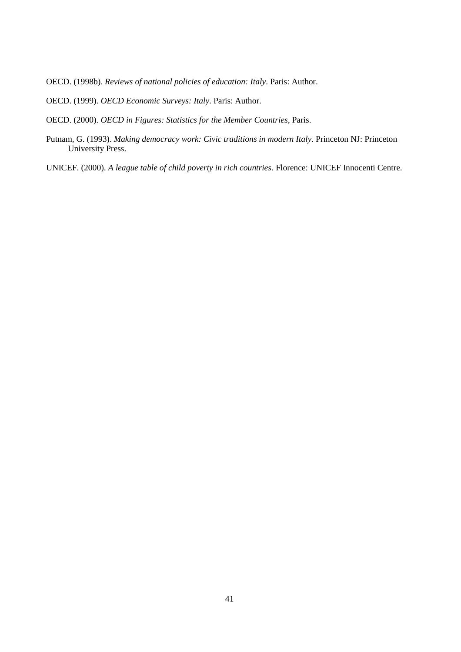OECD. (1998b). *Reviews of national policies of education: Italy*. Paris: Author.

- OECD. (1999). *OECD Economic Surveys: Italy*. Paris: Author.
- OECD. (2000). *OECD in Figures: Statistics for the Member Countries*, Paris.
- Putnam, G. (1993). *Making democracy work: Civic traditions in modern Italy*. Princeton NJ: Princeton University Press.
- UNICEF. (2000). *A league table of child poverty in rich countries*. Florence: UNICEF Innocenti Centre.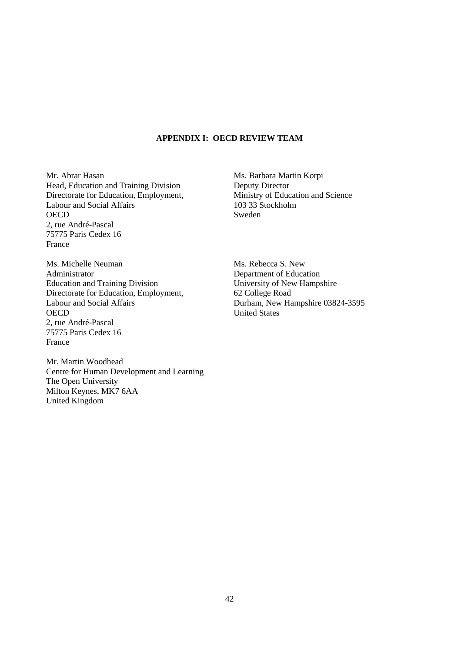## **APPENDIX I: OECD REVIEW TEAM**

Mr. Abrar Hasan Head, Education and Training Division Directorate for Education, Employment, Labour and Social Affairs **OECD** 2, rue André-Pascal 75775 Paris Cedex 16 France

Ms. Michelle Neuman Administrator Education and Training Division Directorate for Education, Employment, Labour and Social Affairs **OECD** 2, rue André-Pascal 75775 Paris Cedex 16 France

Mr. Martin Woodhead Centre for Human Development and Learning The Open University Milton Keynes, MK7 6AA United Kingdom

Ms. Barbara Martin Korpi Deputy Director Ministry of Education and Science 103 33 Stockholm Sweden

Ms. Rebecca S. New Department of Education University of New Hampshire 62 College Road Durham, New Hampshire 03824-3595 United States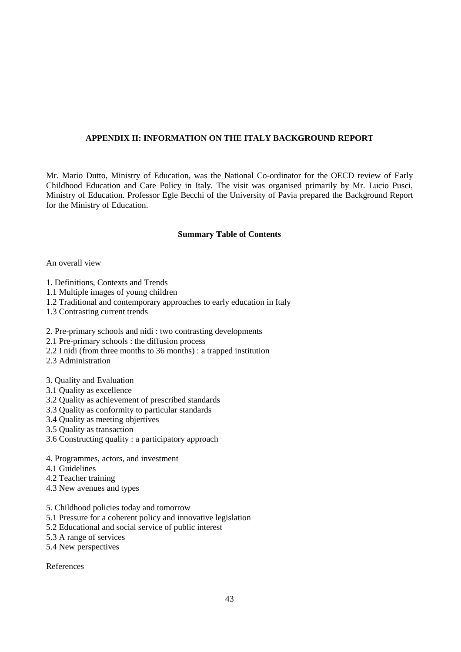## **APPENDIX II: INFORMATION ON THE ITALY BACKGROUND REPORT**

Mr. Mario Dutto, Ministry of Education, was the National Co-ordinator for the OECD review of Early Childhood Education and Care Policy in Italy. The visit was organised primarily by Mr. Lucio Pusci, Ministry of Education. Professor Egle Becchi of the University of Pavia prepared the Background Report for the Ministry of Education.

## **Summary Table of Contents**

An overall view

- 1. Definitions, Contexts and Trends
- 1.1 Multiple images of young children
- 1.2 Traditional and contemporary approaches to early education in Italy
- 1.3 Contrasting current trends

2. Pre-primary schools and nidi : two contrasting developments

- 2.1 Pre-primary schools : the diffusion process
- 2.2 I nidi (from three months to 36 months) : a trapped institution
- 2.3 Administration
- 3. Quality and Evaluation
- 3.1 Quality as excellence
- 3.2 Quality as achievement of prescribed standards
- 3.3 Quality as conformity to particular standards
- 3.4 Quality as meeting objertives
- 3.5 Quality as transaction
- 3.6 Constructing quality : a participatory approach
- 4. Programmes, actors, and investment
- 4.1 Guidelines
- 4.2 Teacher training
- 4.3 New avenues and types
- 5. Childhood policies today and tomorrow
- 5.1 Pressure for a coherent policy and innovative legislation
- 5.2 Educational and social service of public interest
- 5.3 A range of services
- 5.4 New perspectives

References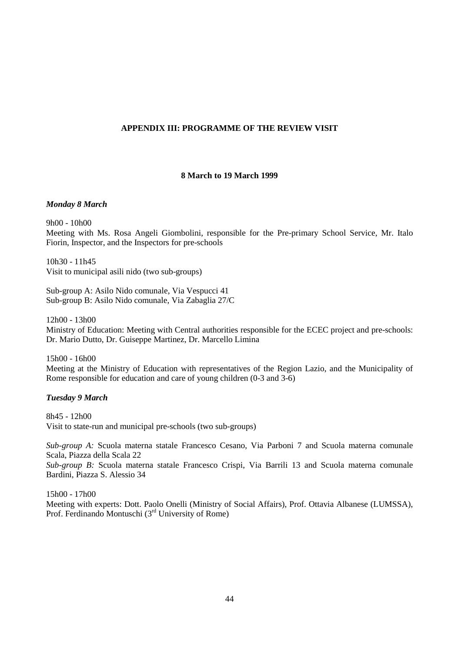## **APPENDIX III: PROGRAMME OF THE REVIEW VISIT**

## **8 March to 19 March 1999**

## *Monday 8 March*

9h00 - 10h00

Meeting with Ms. Rosa Angeli Giombolini, responsible for the Pre-primary School Service, Mr. Italo Fiorin, Inspector, and the Inspectors for pre-schools

10h30 - 11h45 Visit to municipal asili nido (two sub-groups)

Sub-group A: Asilo Nido comunale, Via Vespucci 41 Sub-group B: Asilo Nido comunale, Via Zabaglia 27/C

12h00 - 13h00

Ministry of Education: Meeting with Central authorities responsible for the ECEC project and pre-schools: Dr. Mario Dutto, Dr. Guiseppe Martinez, Dr. Marcello Limina

15h00 - 16h00 Meeting at the Ministry of Education with representatives of the Region Lazio, and the Municipality of Rome responsible for education and care of young children (0-3 and 3-6)

## *Tuesday 9 March*

8h45 - 12h00 Visit to state-run and municipal pre-schools (two sub-groups)

*Sub-group A:* Scuola materna statale Francesco Cesano, Via Parboni 7 and Scuola materna comunale Scala, Piazza della Scala 22

*Sub-group B:* Scuola materna statale Francesco Crispi, Via Barrili 13 and Scuola materna comunale Bardini, Piazza S. Alessio 34

15h00 - 17h00

Meeting with experts: Dott. Paolo Onelli (Ministry of Social Affairs), Prof. Ottavia Albanese (LUMSSA), Prof. Ferdinando Montuschi (3rd University of Rome)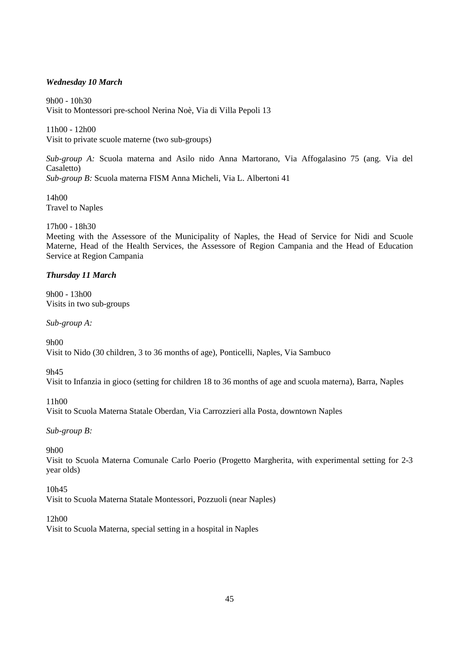# *Wednesday 10 March*

9h00 - 10h30 Visit to Montessori pre-school Nerina Noè, Via di Villa Pepoli 13

11h00 - 12h00 Visit to private scuole materne (two sub-groups)

*Sub-group A:* Scuola materna and Asilo nido Anna Martorano, Via Affogalasino 75 (ang. Via del Casaletto)

*Sub-group B:* Scuola materna FISM Anna Micheli, Via L. Albertoni 41

14h00 Travel to Naples

17h00 - 18h30

Meeting with the Assessore of the Municipality of Naples, the Head of Service for Nidi and Scuole Materne, Head of the Health Services, the Assessore of Region Campania and the Head of Education Service at Region Campania

# *Thursday 11 March*

9h00 - 13h00 Visits in two sub-groups

*Sub-group A:* 

9h00

Visit to Nido (30 children, 3 to 36 months of age), Ponticelli, Naples, Via Sambuco

9h45

Visit to Infanzia in gioco (setting for children 18 to 36 months of age and scuola materna), Barra, Naples

11h00

Visit to Scuola Materna Statale Oberdan, Via Carrozzieri alla Posta, downtown Naples

*Sub-group B:* 

9h00

Visit to Scuola Materna Comunale Carlo Poerio (Progetto Margherita, with experimental setting for 2-3 year olds)

## 10h45

Visit to Scuola Materna Statale Montessori, Pozzuoli (near Naples)

12h00

Visit to Scuola Materna, special setting in a hospital in Naples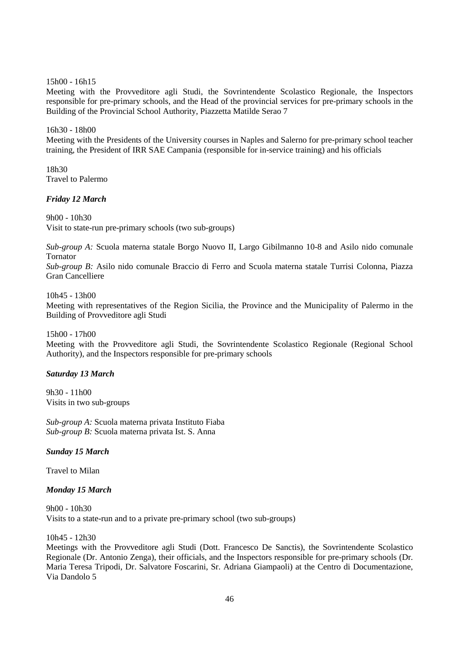15h00 - 16h15

Meeting with the Provveditore agli Studi, the Sovrintendente Scolastico Regionale, the Inspectors responsible for pre-primary schools, and the Head of the provincial services for pre-primary schools in the Building of the Provincial School Authority, Piazzetta Matilde Serao 7

## 16h30 - 18h00

Meeting with the Presidents of the University courses in Naples and Salerno for pre-primary school teacher training, the President of IRR SAE Campania (responsible for in-service training) and his officials

18h30 Travel to Palermo

## *Friday 12 March*

9h00 - 10h30

Visit to state-run pre-primary schools (two sub-groups)

*Sub-group A:* Scuola materna statale Borgo Nuovo II, Largo Gibilmanno 10-8 and Asilo nido comunale Tornator

*Sub-group B:* Asilo nido comunale Braccio di Ferro and Scuola materna statale Turrisi Colonna, Piazza Gran Cancelliere

10h45 - 13h00

Meeting with representatives of the Region Sicilia, the Province and the Municipality of Palermo in the Building of Provveditore agli Studi

15h00 - 17h00

Meeting with the Provveditore agli Studi, the Sovrintendente Scolastico Regionale (Regional School Authority), and the Inspectors responsible for pre-primary schools

## *Saturday 13 March*

9h30 - 11h00 Visits in two sub-groups

*Sub-group A:* Scuola materna privata Instituto Fiaba *Sub-group B:* Scuola materna privata Ist. S. Anna

#### *Sunday 15 March*

Travel to Milan

#### *Monday 15 March*

9h00 - 10h30 Visits to a state-run and to a private pre-primary school (two sub-groups)

10h45 - 12h30

Meetings with the Provveditore agli Studi (Dott. Francesco De Sanctis), the Sovrintendente Scolastico Regionale (Dr. Antonio Zenga), their officials, and the Inspectors responsible for pre-primary schools (Dr. Maria Teresa Tripodi, Dr. Salvatore Foscarini, Sr. Adriana Giampaoli) at the Centro di Documentazione, Via Dandolo 5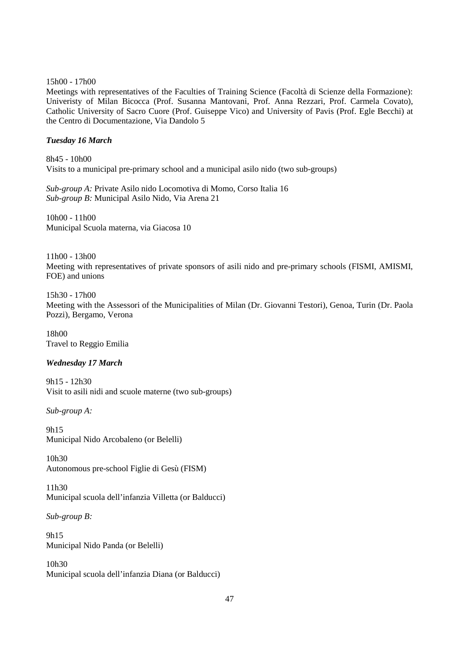15h00 - 17h00

Meetings with representatives of the Faculties of Training Science (Facoltà di Scienze della Formazione): Univeristy of Milan Bicocca (Prof. Susanna Mantovani, Prof. Anna Rezzari, Prof. Carmela Covato), Catholic University of Sacro Cuore (Prof. Guiseppe Vico) and University of Pavis (Prof. Egle Becchi) at the Centro di Documentazione, Via Dandolo 5

# *Tuesday 16 March*

8h45 - 10h00 Visits to a municipal pre-primary school and a municipal asilo nido (two sub-groups)

*Sub-group A:* Private Asilo nido Locomotiva di Momo, Corso Italia 16 *Sub-group B:* Municipal Asilo Nido, Via Arena 21

10h00 - 11h00 Municipal Scuola materna, via Giacosa 10

11h00 - 13h00 Meeting with representatives of private sponsors of asili nido and pre-primary schools (FISMI, AMISMI, FOE) and unions

15h30 - 17h00 Meeting with the Assessori of the Municipalities of Milan (Dr. Giovanni Testori), Genoa, Turin (Dr. Paola Pozzi), Bergamo, Verona

18h00 Travel to Reggio Emilia

# *Wednesday 17 March*

9h15 - 12h30 Visit to asili nidi and scuole materne (two sub-groups)

*Sub-group A:* 

9h15 Municipal Nido Arcobaleno (or Belelli)

10h30 Autonomous pre-school Figlie di Gesù (FISM)

11h30 Municipal scuola dell'infanzia Villetta (or Balducci)

*Sub-group B:*

9h15 Municipal Nido Panda (or Belelli)

10h30 Municipal scuola dell'infanzia Diana (or Balducci)